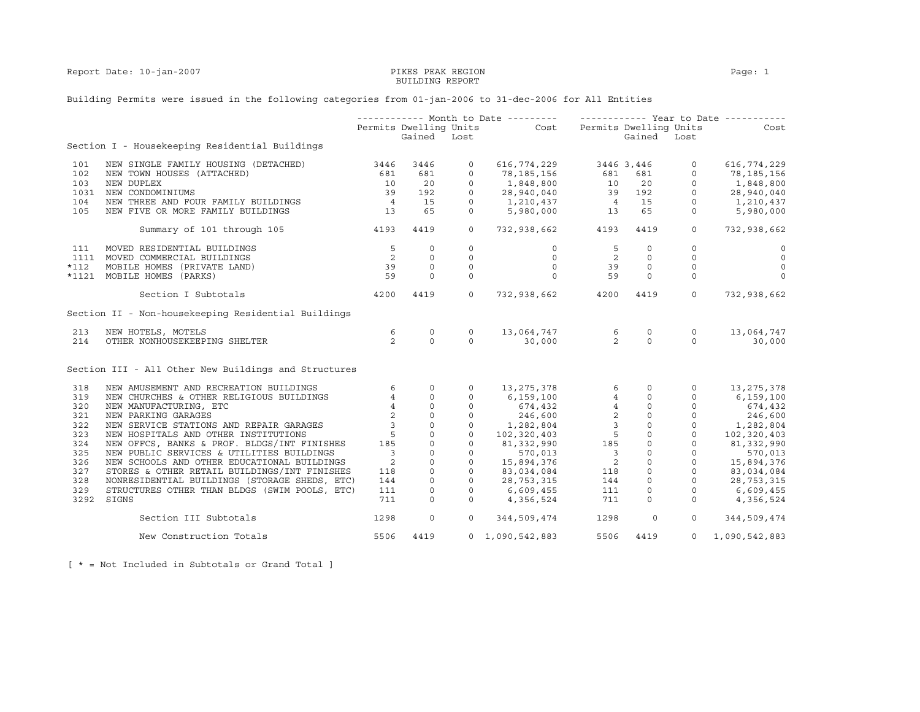Report Date: 10-jan-2007 PIKES PEAK REGION Page: 1

## BUILDING REPORT

## Building Permits were issued in the following categories from 01-jan-2006 to 31-dec-2006 for All Entities

|        |                                                      |                          |              |             | ----------- Month to Date ---------    ------------    Year to Date ----------          |                          |                                 |                |                |
|--------|------------------------------------------------------|--------------------------|--------------|-------------|-----------------------------------------------------------------------------------------|--------------------------|---------------------------------|----------------|----------------|
|        |                                                      |                          |              |             | Permits Dwelling Units Cost Permits Dwelling Units                                      |                          |                                 |                | Cost           |
|        |                                                      |                          | Gained Lost  |             |                                                                                         |                          | Gained Lost                     |                |                |
|        | Section I - Housekeeping Residential Buildings       |                          |              |             |                                                                                         |                          |                                 |                |                |
| 101    | NEW SINGLE FAMILY HOUSING (DETACHED)                 | 3446                     | 3446         | $\circ$     | 616,774,229 3446 3,446                                                                  |                          |                                 | $\circ$        | 616,774,229    |
| 102    | NEW TOWN HOUSES (ATTACHED)                           | 681                      | 681          | $\circ$     | 78,185,156                                                                              |                          |                                 | $\circ$        | 78,185,156     |
| 103    | NEW DUPLEX                                           | 10                       | 20           | $\mathbf 0$ | 1,848,800                                                                               |                          |                                 | $\circ$        | 1,848,800      |
| 1031   | NEW CONDOMINIUMS                                     | 39                       | 192          | $\circ$     | 78, 185, 156 681 681<br>1, 848, 800 10 20<br>28, 940, 040 39 192                        |                          |                                 | $\overline{0}$ | 28,940,040     |
| 104    | NEW THREE AND FOUR FAMILY BUILDINGS                  | $\overline{4}$           | 15           | $\circ$     |                                                                                         |                          |                                 | $\circ$        | 1,210,437      |
| 105    | NEW FIVE OR MORE FAMILY BUILDINGS                    | 13                       | 65           | $\circ$     |                                                                                         |                          |                                 | $\circ$        | 5,980,000      |
|        | 4193<br>Summary of 101 through 105                   |                          | 4419         | $\circ$     | 732,938,662 4193                                                                        |                          | 4419                            | $\circ$        | 732,938,662    |
| 111    | MOVED RESIDENTIAL BUILDINGS                          | $5^{\circ}$              | $\circ$      | $\circ$     | $\circ$                                                                                 | 5                        | $\Omega$                        | $\Omega$       | $\circ$        |
|        | 1111 MOVED COMMERCIAL BUILDINGS                      | $\overline{\phantom{a}}$ | $\circ$      | $\circ$     | $\circ$                                                                                 | $\overline{\mathbf{c}}$  | $\Omega$                        | $\circ$        | $\overline{0}$ |
| $*112$ | MOBILE HOMES (PRIVATE LAND)                          | 39                       | $\circ$      | $\circ$     | $\circ$                                                                                 | 39                       | $\circ$                         | $\circ$        | $\circ$        |
|        | *1121 MOBILE HOMES (PARKS)                           | 59                       | $\Omega$     | $\Omega$    | $\Omega$                                                                                | 59                       | $\Omega$                        | $\circ$        | $\Omega$       |
|        | Section I Subtotals                                  | 4200                     | 4419         | $\Omega$    | 732,938,662 4200                                                                        |                          | 4419                            | $\overline{0}$ | 732,938,662    |
|        | Section II - Non-housekeeping Residential Buildings  |                          |              |             |                                                                                         |                          |                                 |                |                |
| 213    | NEW HOTELS, MOTELS                                   | 6                        | $\circ$      | $\circ$     |                                                                                         |                          | $\circ$                         | $\circ$        | 13,064,747     |
| 214    | OTHER NONHOUSEKEEPING SHELTER                        | 2                        | $\Omega$     | $\Omega$    | $13,064,747$ 6<br>30,000 2                                                              |                          | $\Omega$                        | $\Omega$       | 30,000         |
|        | Section III - All Other New Buildings and Structures |                          |              |             |                                                                                         |                          |                                 |                |                |
| 318    | NEW AMUSEMENT AND RECREATION BUILDINGS               | 6                        | $\circ$      | $\circ$     | 13, 275, 378                                                                            |                          | $6 \qquad \qquad$<br>$\circ$    | $\circ$        | 13,275,378     |
| 319    | NEW CHURCHES & OTHER RELIGIOUS BUILDINGS             | $4\overline{ }$          | $\circ$      | $\circ$     | 6,159,100                                                                               |                          | $0 \qquad \qquad$<br>$4\degree$ | $\circ$        | 6,159,100      |
| 320    | NEW MANUFACTURING, ETC                               | $\overline{4}$           | $\mathsf{O}$ | $\circ$     | $674, 432$<br>$246, 600$<br>$1, 282, 804$<br>$102, 320, 403$<br>$81, 332, 990$<br>$185$ |                          |                                 |                | 674,432        |
| 321    | NEW PARKING GARAGES                                  | $\overline{2}$           | $\circ$      | $\circ$     |                                                                                         |                          |                                 |                | 246,600        |
| 322    | NEW SERVICE STATIONS AND REPAIR GARAGES              | $\overline{3}$           | $\circ$      | $\circ$     |                                                                                         |                          |                                 |                | 1,282,804      |
| 323    | NEW HOSPITALS AND OTHER INSTITUTIONS                 | 5                        | $\mathbb O$  | $\circ$     |                                                                                         |                          |                                 |                | 102,320,403    |
| 324    | NEW OFFCS, BANKS & PROF. BLDGS/INT FINISHES          | 185                      | $\circ$      | $\circ$     |                                                                                         |                          |                                 |                | 81,332,990     |
| 325    | NEW PUBLIC SERVICES & UTILITIES BUILDINGS            | $\overline{\phantom{a}}$ | $\circ$      | $\circ$     |                                                                                         | $\overline{\mathbf{3}}$  |                                 |                | 570,013        |
| 326    | NEW SCHOOLS AND OTHER EDUCATIONAL BUILDINGS          | 2                        | $\circ$      | $\circ$     | 570,013<br>15,894,376                                                                   | $\overline{\phantom{0}}$ |                                 |                | 15,894,376     |
| 327    | STORES & OTHER RETAIL BUILDINGS/INT FINISHES         | 118                      | $\mathbf{0}$ | $\circ$     | 83,034,084                                                                              | 118                      |                                 |                | 83,034,084     |
| 328    | NONRESIDENTIAL BUILDINGS (STORAGE SHEDS, ETC)        | 144                      | $\circ$      | $\circ$     | 28,753,315                                                                              | 144                      |                                 |                | 28,753,315     |
| 329    | STRUCTURES OTHER THAN BLDGS (SWIM POOLS, ETC)        | 111                      | $\circ$      | $\circ$     | 6,609,455                                                                               | 111                      | $\circ$                         | $\circ$        | 6,609,455      |
| 3292   | SIGNS                                                | 711                      | $\Omega$     | $\Omega$    | 4,356,524                                                                               | 711                      | $\Omega$                        | $\Omega$       | 4,356,524      |
|        | Section III Subtotals                                | 1298                     | $\circ$      |             | $0 \qquad \qquad$<br>344,509,474                                                        | 1298                     | $\circ$                         | $\circ$        | 344,509,474    |
|        | New Construction Totals                              | 5506                     | 4419         |             | $0 \quad 1,090,542,883$                                                                 | 5506                     | 4419                            | $\Omega$       | 1,090,542,883  |

[ \* = Not Included in Subtotals or Grand Total ]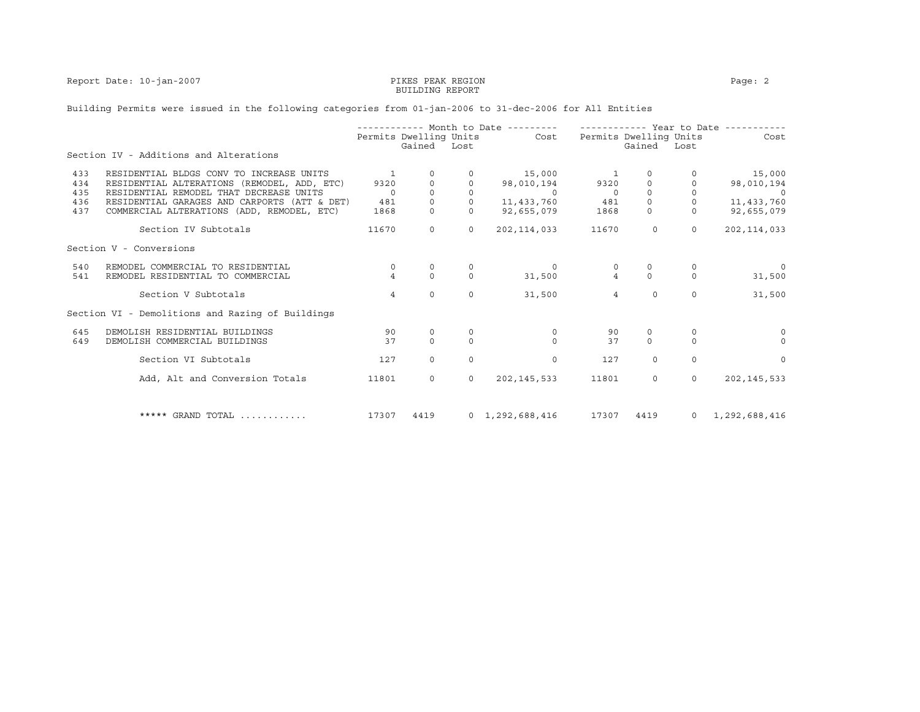Report Date: 10-jan-2007 PIKES PEAK REGION PAGE: 2

# BUILDING REPORT

## Building Permits were issued in the following categories from 01-jan-2006 to 31-dec-2006 for All Entities

|     |                                                  |                |                                  |          | ----------- Month to Date --------- |                          | ----------- Year to Date -----   |                |               |
|-----|--------------------------------------------------|----------------|----------------------------------|----------|-------------------------------------|--------------------------|----------------------------------|----------------|---------------|
|     |                                                  |                | Permits Dwelling Units<br>Gained | Lost     | Cost                                |                          | Permits Dwelling Units<br>Gained | Lost           | Cost          |
|     | Section IV - Additions and Alterations           |                |                                  |          |                                     |                          |                                  |                |               |
| 433 | RESIDENTIAL BLDGS CONV TO INCREASE UNITS         | -1             | $\circ$                          |          | 15,000                              | $\overline{\phantom{1}}$ | 0                                |                | 15,000        |
| 434 | RESIDENTIAL ALTERATIONS (REMODEL, ADD, ETC)      | 9320           |                                  |          | 98,010,194                          | 9320                     | 0                                |                | 98,010,194    |
| 435 | RESIDENTIAL REMODEL THAT DECREASE UNITS          | $\Omega$       | $\Omega$                         | $\Omega$ | $\overline{a}$                      | $\Omega$                 | $\Omega$                         | $\Omega$       |               |
| 436 | RESIDENTIAL GARAGES AND CARPORTS (ATT & DET)     | 481            | $\mathbf 0$                      |          | 11,433,760                          | 481                      | $\circ$                          |                | 11,433,760    |
| 437 | COMMERCIAL ALTERATIONS (ADD, REMODEL, ETC)       | 1868           | $\circ$                          |          | 92,655,079                          | 1868                     | $\circ$                          | $\circ$        | 92,655,079    |
|     | Section IV Subtotals                             | 11670          | $\mathbf{0}$                     | $\circ$  | 202, 114, 033                       | 11670                    | $\circ$                          | $\Omega$       | 202, 114, 033 |
|     | Section V - Conversions                          |                |                                  |          |                                     |                          |                                  |                |               |
| 540 | REMODEL COMMERCIAL TO RESIDENTIAL                | $\circ$        | 0                                |          | $\Omega$                            |                          | 0                                |                | $\Omega$      |
| 541 | REMODEL RESIDENTIAL TO COMMERCIAL                | $\overline{4}$ | $\Omega$                         | $\Omega$ | 31,500                              | $\overline{4}$           | $\Omega$                         | $\Omega$       | 31,500        |
|     | Section V Subtotals                              | $\overline{4}$ | $\Omega$                         | $\Omega$ | 31,500                              | $\overline{4}$           | $\Omega$                         | $\Omega$       | 31,500        |
|     | Section VI - Demolitions and Razing of Buildings |                |                                  |          |                                     |                          |                                  |                |               |
| 645 | DEMOLISH RESIDENTIAL BUILDINGS                   | 90             | 0                                |          | 0                                   | 90                       | 0                                |                | $\circ$       |
| 649 | DEMOLISH COMMERCIAL BUILDINGS                    | 37             | $\Omega$                         | $\Omega$ | $\Omega$                            | 37                       | $\Omega$                         | $\Omega$       | $\Omega$      |
|     | Section VI Subtotals                             | 127            | $\Omega$                         | $\Omega$ | 0                                   | 127                      | $\Omega$                         | $\Omega$       | $\Omega$      |
|     | Add, Alt and Conversion Totals                   | 11801          | $\circ$                          | $\circ$  | 202, 145, 533                       | 11801                    | $\circ$                          | $\Omega$       | 202, 145, 533 |
|     |                                                  |                |                                  |          |                                     |                          |                                  |                |               |
|     | $****$ GRAND TOTAL                               | 17307          | 4419                             |          | $0 \quad 1,292,688,416$             | 17307                    | 4419                             | $\overline{0}$ | 1,292,688,416 |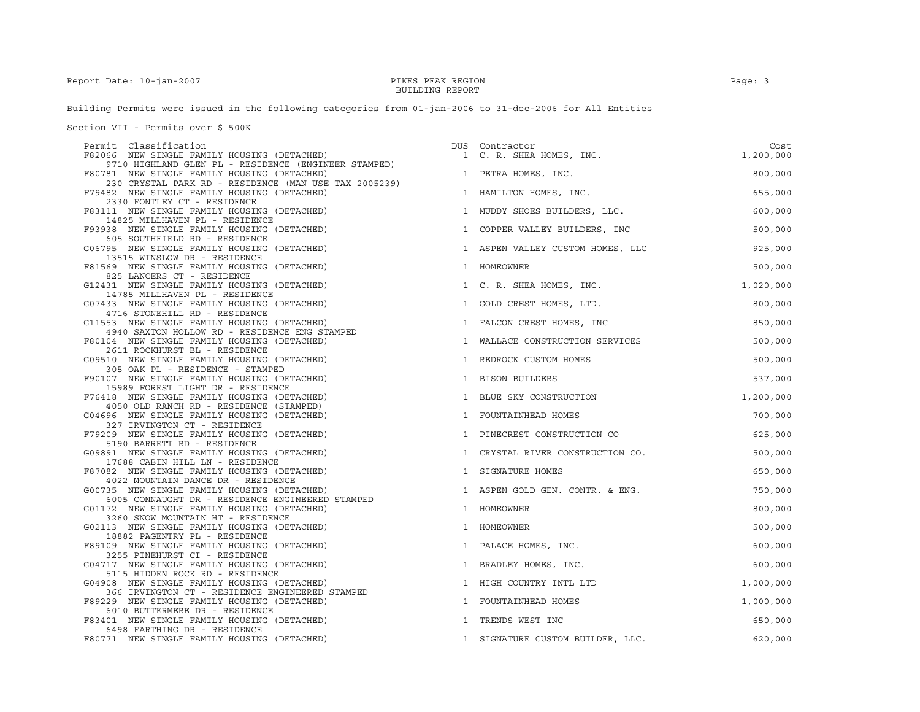Building Permits were issued in the following categories from 01-jan-2006 to 31-dec-2006 for All Entities

Section VII - Permits over \$ 500K

| Permit Classification                                                                                          |              | DUS Contractor                   | Cost      |
|----------------------------------------------------------------------------------------------------------------|--------------|----------------------------------|-----------|
| F82066 NEW SINGLE FAMILY HOUSING (DETACHED)<br>9710 HIGHLAND GLEN PL - RESIDENCE (ENGINEER STAMPED)            |              | 1 C. R. SHEA HOMES, INC.         | 1,200,000 |
| F80781 NEW SINGLE FAMILY HOUSING (DETACHED)<br>230 CRYSTAL PARK RD - RESIDENCE (MAN USE TAX 2005239)           |              | 1 PETRA HOMES, INC.              | 800,000   |
| F79482 NEW SINGLE FAMILY HOUSING (DETACHED)<br>2330 FONTLEY CT - RESIDENCE                                     |              | 1 HAMILTON HOMES, INC.           | 655,000   |
| F83111 NEW SINGLE FAMILY HOUSING (DETACHED)<br>14825 MILLHAVEN PL - RESIDENCE                                  |              | 1 MUDDY SHOES BUILDERS, LLC.     | 600,000   |
| F93938 NEW SINGLE FAMILY HOUSING (DETACHED)<br>605 SOUTHFIELD RD - RESIDENCE                                   |              | 1 COPPER VALLEY BUILDERS, INC    | 500,000   |
| G06795 NEW SINGLE FAMILY HOUSING (DETACHED)                                                                    |              | 1 ASPEN VALLEY CUSTOM HOMES, LLC | 925,000   |
| 13515 WINSLOW DR - RESIDENCE<br>F81569 NEW SINGLE FAMILY HOUSING (DETACHED)                                    |              | 1 HOMEOWNER                      | 500,000   |
| 825 LANCERS CT - RESIDENCE<br>G12431 NEW SINGLE FAMILY HOUSING (DETACHED)                                      |              | 1 C. R. SHEA HOMES, INC.         | 1,020,000 |
| 14785 MILLHAVEN PL - RESIDENCE<br>G07433 NEW SINGLE FAMILY HOUSING (DETACHED)<br>4716 STONEHILL RD - RESIDENCE |              | 1 GOLD CREST HOMES, LTD.         | 800,000   |
| G11553 NEW SINGLE FAMILY HOUSING (DETACHED)                                                                    |              | 1 FALCON CREST HOMES, INC        | 850,000   |
| 4940 SAXTON HOLLOW RD - RESIDENCE ENG STAMPED<br>F80104 NEW SINGLE FAMILY HOUSING (DETACHED)                   | $\mathbf{1}$ | WALLACE CONSTRUCTION SERVICES    | 500,000   |
| 2611 ROCKHURST BL - RESIDENCE<br>G09510 NEW SINGLE FAMILY HOUSING (DETACHED)                                   |              | 1 REDROCK CUSTOM HOMES           | 500,000   |
| 305 OAK PL - RESIDENCE - STAMPED<br>F90107 NEW SINGLE FAMILY HOUSING (DETACHED)                                |              | 1 BISON BUILDERS                 | 537,000   |
| 15989 FOREST LIGHT DR - RESIDENCE<br>F76418 NEW SINGLE FAMILY HOUSING (DETACHED)                               |              | 1 BLUE SKY CONSTRUCTION          | 1,200,000 |
| 4050 OLD RANCH RD - RESIDENCE (STAMPED)<br>G04696 NEW SINGLE FAMILY HOUSING (DETACHED)                         |              | 1 FOUNTAINHEAD HOMES             | 700,000   |
| 327 IRVINGTON CT - RESIDENCE<br>F79209 NEW SINGLE FAMILY HOUSING (DETACHED)                                    |              | 1 PINECREST CONSTRUCTION CO      | 625,000   |
| 5190 BARRETT RD - RESIDENCE<br>G09891 NEW SINGLE FAMILY HOUSING (DETACHED)                                     |              | 1 CRYSTAL RIVER CONSTRUCTION CO. | 500,000   |
| 17688 CABIN HILL LN - RESIDENCE<br>F87082 NEW SINGLE FAMILY HOUSING (DETACHED)                                 | $\mathbf{1}$ | SIGNATURE HOMES                  | 650,000   |
| 4022 MOUNTAIN DANCE DR - RESIDENCE<br>G00735 NEW SINGLE FAMILY HOUSING (DETACHED)                              |              | 1 ASPEN GOLD GEN. CONTR. & ENG.  | 750,000   |
| 6005 CONNAUGHT DR - RESIDENCE ENGINEERED STAMPED<br>G01172 NEW SINGLE FAMILY HOUSING (DETACHED)                |              | 1 HOMEOWNER                      | 800,000   |
| 3260 SNOW MOUNTAIN HT - RESIDENCE<br>G02113 NEW SINGLE FAMILY HOUSING (DETACHED)                               |              | 1 HOMEOWNER                      | 500,000   |
| 18882 PAGENTRY PL - RESIDENCE<br>F89109 NEW SINGLE FAMILY HOUSING (DETACHED)                                   |              | 1 PALACE HOMES, INC.             | 600,000   |
| 3255 PINEHURST CI - RESIDENCE<br>G04717 NEW SINGLE FAMILY HOUSING (DETACHED)                                   |              | 1 BRADLEY HOMES, INC.            | 600,000   |
| 5115 HIDDEN ROCK RD - RESIDENCE<br>G04908 NEW SINGLE FAMILY HOUSING (DETACHED)                                 |              | 1 HIGH COUNTRY INTL LTD          | 1,000,000 |
| 366 IRVINGTON CT - RESIDENCE ENGINEERED STAMPED<br>F89229 NEW SINGLE FAMILY HOUSING (DETACHED)                 |              | 1 FOUNTAINHEAD HOMES             | 1,000,000 |
| 6010 BUTTERMERE DR - RESIDENCE<br>F83401 NEW SINGLE FAMILY HOUSING (DETACHED)                                  | 1            | TRENDS WEST INC                  | 650,000   |
| 6498 FARTHING DR - RESIDENCE<br>F80771 NEW SINGLE FAMILY HOUSING (DETACHED)                                    |              | 1 SIGNATURE CUSTOM BUILDER, LLC. | 620,000   |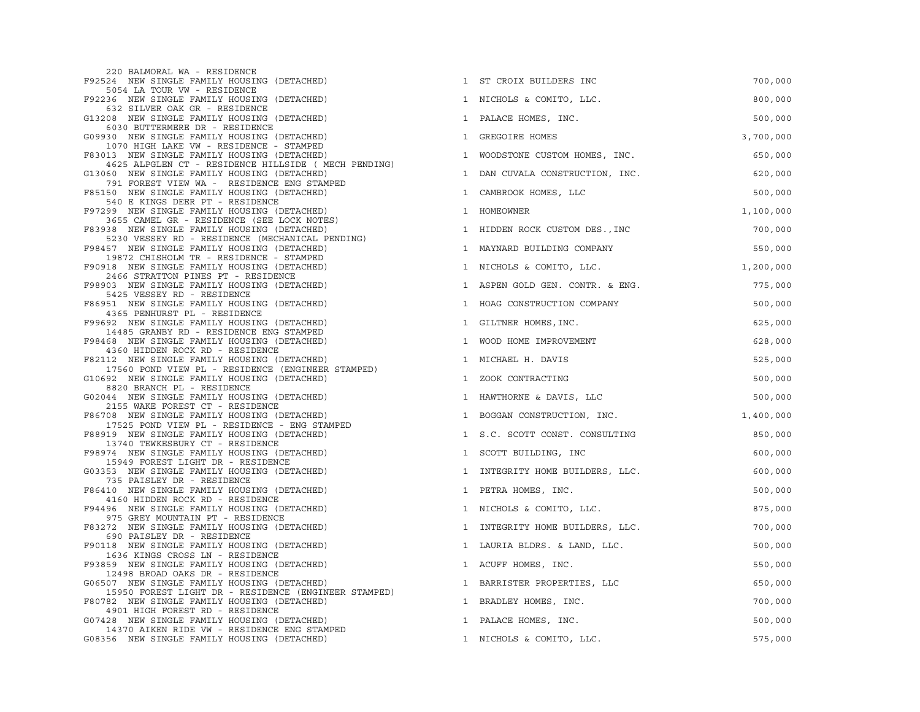| 220 BALMORAL WA - RESIDENCE                                                                         |                                                           |           |
|-----------------------------------------------------------------------------------------------------|-----------------------------------------------------------|-----------|
| F92524 NEW SINGLE FAMILY HOUSING (DETACHED)                                                         | 1 ST CROIX BUILDERS INC                                   | 700,000   |
| 5054 LA TOUR VW - RESIDENCE<br>F92236 NEW SINGLE FAMILY HOUSING (DETACHED)                          | 1 NICHOLS & COMITO, LLC.                                  | 800,000   |
| 632 SILVER OAK GR - RESIDENCE<br>G13208 NEW SINGLE FAMILY HOUSING (DETACHED)                        | PALACE HOMES, INC.<br>1                                   | 500,000   |
| 6030 BUTTERMERE DR - RESIDENCE<br>G09930 NEW SINGLE FAMILY HOUSING (DETACHED)                       | 1 GREGOIRE HOMES                                          | 3,700,000 |
| 1070 HIGH LAKE VW - RESIDENCE - STAMPED<br>F83013 NEW SINGLE FAMILY HOUSING (DETACHED)              | 1 WOODSTONE CUSTOM HOMES, INC.                            | 650,000   |
| 4625 ALPGLEN CT - RESIDENCE HILLSIDE ( MECH PENDING)<br>G13060 NEW SINGLE FAMILY HOUSING (DETACHED) | 1 DAN CUVALA CONSTRUCTION, INC.                           | 620,000   |
| 791 FOREST VIEW WA - RESIDENCE ENG STAMPED<br>F85150 NEW SINGLE FAMILY HOUSING (DETACHED)           | 1 CAMBROOK HOMES, LLC                                     | 500,000   |
| 540 E KINGS DEER PT - RESIDENCE<br>F97299 NEW SINGLE FAMILY HOUSING (DETACHED)                      | HOMEOWNER<br>$\mathbf{1}$                                 | 1,100,000 |
| 3655 CAMEL GR - RESIDENCE (SEE LOCK NOTES)<br>F83938 NEW SINGLE FAMILY HOUSING (DETACHED)           | 1 HIDDEN ROCK CUSTOM DES., INC                            | 700,000   |
| 5230 VESSEY RD - RESIDENCE (MECHANICAL PENDING)<br>F98457 NEW SINGLE FAMILY HOUSING (DETACHED)      | 1 MAYNARD BUILDING COMPANY                                | 550,000   |
| 19872 CHISHOLM TR - RESIDENCE - STAMPED<br>F90918 NEW SINGLE FAMILY HOUSING (DETACHED)              | 1 NICHOLS & COMITO, LLC.                                  | 1,200,000 |
| 2466 STRATTON PINES PT - RESIDENCE<br>F98903 NEW SINGLE FAMILY HOUSING (DETACHED)                   | 1 ASPEN GOLD GEN. CONTR. & ENG.                           | 775,000   |
| 5425 VESSEY RD - RESIDENCE<br>F86951 NEW SINGLE FAMILY HOUSING (DETACHED)                           | 1 HOAG CONSTRUCTION COMPANY                               | 500,000   |
| 4365 PENHURST PL - RESIDENCE<br>F99692 NEW SINGLE FAMILY HOUSING (DETACHED)                         | 1 GILTNER HOMES, INC.                                     | 625,000   |
| 14485 GRANBY RD - RESIDENCE ENG STAMPED<br>F98468 NEW SINGLE FAMILY HOUSING (DETACHED)              | 1 WOOD HOME IMPROVEMENT                                   | 628,000   |
| 4360 HIDDEN ROCK RD - RESIDENCE<br>F82112 NEW SINGLE FAMILY HOUSING (DETACHED)                      | 1 MICHAEL H. DAVIS                                        | 525,000   |
| 17560 POND VIEW PL - RESIDENCE (ENGINEER STAMPED)<br>G10692 NEW SINGLE FAMILY HOUSING (DETACHED)    | 1 ZOOK CONTRACTING                                        | 500,000   |
| 8820 BRANCH PL - RESIDENCE<br>G02044 NEW SINGLE FAMILY HOUSING (DETACHED)                           | 1 HAWTHORNE & DAVIS, LLC                                  | 500,000   |
| 2155 WAKE FOREST CT - RESIDENCE<br>F86708 NEW SINGLE FAMILY HOUSING (DETACHED)                      | ${\tt LOGGAN\ CONSTRUCTION,\ INC.\hspace{2cm} 1,400,000}$ |           |
| 17525 POND VIEW PL - RESIDENCE - ENG STAMPED<br>F88919 NEW SINGLE FAMILY HOUSING (DETACHED)         | 1 S.C. SCOTT CONST. CONSULTING                            | 850,000   |
| 13740 TEWKESBURY CT - RESIDENCE<br>F98974 NEW SINGLE FAMILY HOUSING (DETACHED)                      | 1 SCOTT BUILDING, INC                                     | 600,000   |
| 15949 FOREST LIGHT DR - RESIDENCE<br>G03353 NEW SINGLE FAMILY HOUSING (DETACHED)                    | 1 INTEGRITY HOME BUILDERS, LLC.                           | 600,000   |
| 735 PAISLEY DR - RESIDENCE<br>F86410 NEW SINGLE FAMILY HOUSING (DETACHED)                           | 1 PETRA HOMES, INC.                                       | 500,000   |
| 4160 HIDDEN ROCK RD - RESIDENCE<br>F94496 NEW SINGLE FAMILY HOUSING (DETACHED)                      | 1 NICHOLS & COMITO, LLC.                                  | 875,000   |
| 975 GREY MOUNTAIN PT - RESIDENCE<br>F83272 NEW SINGLE FAMILY HOUSING (DETACHED)                     | 1 INTEGRITY HOME BUILDERS, LLC.                           | 700,000   |
| 690 PAISLEY DR - RESIDENCE<br>F90118 NEW SINGLE FAMILY HOUSING (DETACHED)                           | 1 LAURIA BLDRS. & LAND, LLC.                              | 500,000   |
| 1636 KINGS CROSS LN - RESIDENCE<br>F93859 NEW SINGLE FAMILY HOUSING (DETACHED)                      | 1 ACUFF HOMES, INC.                                       | 550,000   |
| 12498 BROAD OAKS DR - RESIDENCE<br>G06507 NEW SINGLE FAMILY HOUSING (DETACHED)                      | 1 BARRISTER PROPERTIES, LLC                               | 650,000   |
| 15950 FOREST LIGHT DR - RESIDENCE (ENGINEER STAMPED)<br>F80782 NEW SINGLE FAMILY HOUSING (DETACHED) | 1 BRADLEY HOMES, INC.                                     | 700,000   |
| 4901 HIGH FOREST RD - RESIDENCE<br>G07428 NEW SINGLE FAMILY HOUSING (DETACHED)                      | 1 PALACE HOMES, INC.                                      | 500,000   |
| 14370 AIKEN RIDE VW - RESIDENCE ENG STAMPED<br>G08356 NEW SINGLE FAMILY HOUSING (DETACHED)          | 1 NICHOLS & COMITO, LLC.                                  | 575,000   |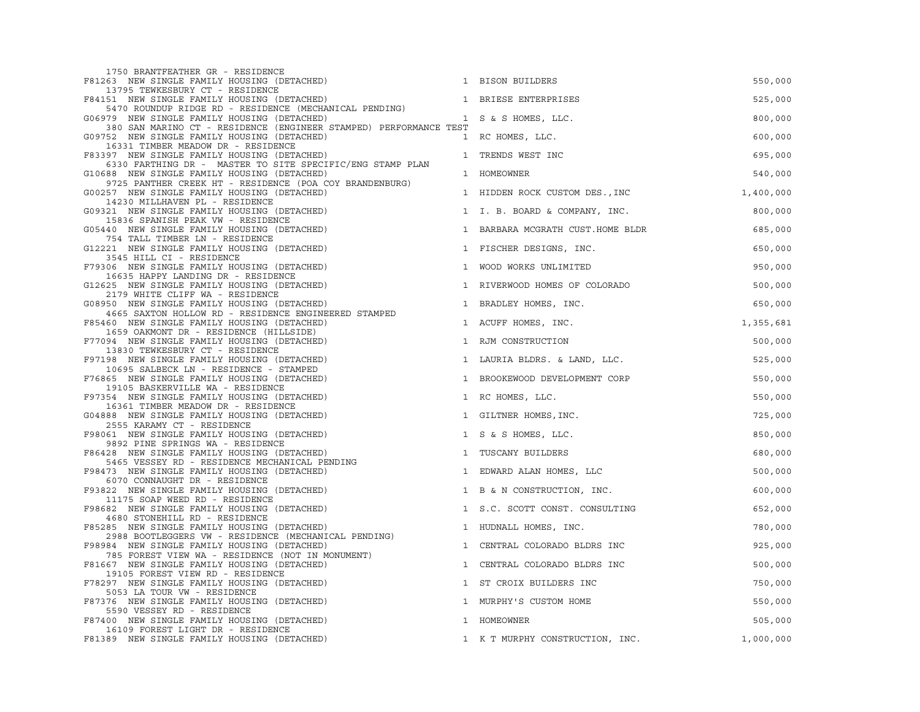| 1750 BRANTFEATHER GR - RESIDENCE                                                                                                                                    |                                  |           |
|---------------------------------------------------------------------------------------------------------------------------------------------------------------------|----------------------------------|-----------|
| F81263 NEW SINGLE FAMILY HOUSING (DETACHED)                                                                                                                         | 1 BISON BUILDERS                 | 550,000   |
| 13795 TEWKESBURY CT - RESIDENCE<br>F84151 NEW SINGLE FAMILY HOUSING (DETACHED)                                                                                      | 1 BRIESE ENTERPRISES             | 525,000   |
| 5470 ROUNDUP RIDGE RD - RESIDENCE (MECHANICAL PENDING)<br>G06979 NEW SINGLE FAMILY HOUSING (DETACHED)                                                               | 1 S & S HOMES, LLC.              | 800,000   |
| 380 SAN MARINO CT - RESIDENCE (ENGINEER STAMPED) PERFORMANCE TEST<br>G09752 NEW SINGLE FAMILY HOUSING (DETACHED)                                                    | 1 RC HOMES, LLC.                 | 600,000   |
| 16331 TIMBER MEADOW DR - RESIDENCE<br>F83397 NEW SINGLE FAMILY HOUSING (DETACHED)                                                                                   | 1 TRENDS WEST INC                | 695,000   |
| 6330 FARTHING DR - MASTER TO SITE SPECIFIC/ENG STAMP PLAN<br>G10688 NEW SINGLE FAMILY HOUSING (DETACHED)<br>9725 PANTHER CREEK HT - RESIDENCE (POA COY BRANDENBURG) | 1 HOMEOWNER                      | 540,000   |
| G00257 NEW SINGLE FAMILY HOUSING (DETACHED)<br>14230 MILLHAVEN PL - RESIDENCE                                                                                       | 1 HIDDEN ROCK CUSTOM DES., INC   | 1,400,000 |
| G09321 NEW SINGLE FAMILY HOUSING (DETACHED)<br>15836 SPANISH PEAK VW - RESIDENCE                                                                                    | 1 I. B. BOARD & COMPANY, INC.    | 800,000   |
| G05440 NEW SINGLE FAMILY HOUSING (DETACHED)<br>754 TALL TIMBER LN - RESIDENCE                                                                                       | 1 BARBARA MCGRATH CUST.HOME BLDR | 685,000   |
| G12221 NEW SINGLE FAMILY HOUSING (DETACHED)<br>3545 HILL CI - RESIDENCE                                                                                             | 1 FISCHER DESIGNS, INC.          | 650,000   |
| F79306 NEW SINGLE FAMILY HOUSING (DETACHED)<br>16635 HAPPY LANDING DR - RESIDENCE                                                                                   | 1 WOOD WORKS UNLIMITED           | 950,000   |
| G12625 NEW SINGLE FAMILY HOUSING (DETACHED)<br>2179 WHITE CLIFF WA - RESIDENCE                                                                                      | 1 RIVERWOOD HOMES OF COLORADO    | 500,000   |
| G08950 NEW SINGLE FAMILY HOUSING (DETACHED)<br>4665 SAXTON HOLLOW RD - RESIDENCE ENGINEERED STAMPED                                                                 | 1 BRADLEY HOMES, INC.            | 650,000   |
| F85460 NEW SINGLE FAMILY HOUSING (DETACHED)<br>1659 OAKMONT DR - RESIDENCE (HILLSIDE)                                                                               | 1 ACUFF HOMES, INC.              | 1,355,681 |
| F77094 NEW SINGLE FAMILY HOUSING (DETACHED)<br>13830 TEWKESBURY CT - RESIDENCE                                                                                      | 1 RJM CONSTRUCTION               | 500,000   |
| F97198 NEW SINGLE FAMILY HOUSING (DETACHED)<br>10695 SALBECK LN - RESIDENCE - STAMPED                                                                               | 1 LAURIA BLDRS. & LAND, LLC.     | 525,000   |
| F76865 NEW SINGLE FAMILY HOUSING (DETACHED)<br>19105 BASKERVILLE WA - RESIDENCE                                                                                     | 1 BROOKEWOOD DEVELOPMENT CORP    | 550,000   |
| F97354 NEW SINGLE FAMILY HOUSING (DETACHED)<br>16361 TIMBER MEADOW DR - RESIDENCE                                                                                   | 1 RC HOMES, LLC.                 | 550,000   |
| G04888 NEW SINGLE FAMILY HOUSING (DETACHED)<br>2555 KARAMY CT - RESIDENCE                                                                                           | 1 GILTNER HOMES, INC.            | 725,000   |
| F98061 NEW SINGLE FAMILY HOUSING (DETACHED)<br>9892 PINE SPRINGS WA - RESIDENCE                                                                                     | 1 S & S HOMES, LLC.              | 850,000   |
| F86428 NEW SINGLE FAMILY HOUSING (DETACHED)<br>5465 VESSEY RD - RESIDENCE MECHANICAL PENDING                                                                        | 1 TUSCANY BUILDERS               | 680,000   |
| F98473 NEW SINGLE FAMILY HOUSING (DETACHED)<br>6070 CONNAUGHT DR - RESIDENCE                                                                                        | 1 EDWARD ALAN HOMES, LLC         | 500,000   |
| F93822 NEW SINGLE FAMILY HOUSING (DETACHED)<br>11175 SOAP WEED RD - RESIDENCE                                                                                       | 1 B & N CONSTRUCTION, INC.       | 600,000   |
| F98682 NEW SINGLE FAMILY HOUSING (DETACHED)<br>4680 STONEHILL RD - RESIDENCE                                                                                        | 1 S.C. SCOTT CONST. CONSULTING   | 652,000   |
| F85285 NEW SINGLE FAMILY HOUSING (DETACHED)<br>2988 BOOTLEGGERS VW - RESIDENCE (MECHANICAL PENDING)                                                                 | 1 HUDNALL HOMES, INC.            | 780,000   |
| F98984 NEW SINGLE FAMILY HOUSING (DETACHED)<br>785 FOREST VIEW WA - RESIDENCE (NOT IN MONUMENT)                                                                     | 1 CENTRAL COLORADO BLDRS INC     | 925,000   |
| F81667 NEW SINGLE FAMILY HOUSING (DETACHED)<br>19105 FOREST VIEW RD - RESIDENCE                                                                                     | 1 CENTRAL COLORADO BLDRS INC     | 500,000   |
| F78297 NEW SINGLE FAMILY HOUSING (DETACHED)<br>$\mathbf{1}$<br>5053 LA TOUR VW - RESIDENCE                                                                          | ST CROIX BUILDERS INC            | 750,000   |
| F87376 NEW SINGLE FAMILY HOUSING (DETACHED)<br>5590 VESSEY RD - RESIDENCE                                                                                           | 1 MURPHY'S CUSTOM HOME           | 550,000   |
| F87400 NEW SINGLE FAMILY HOUSING (DETACHED)<br>16109 FOREST LIGHT DR - RESIDENCE                                                                                    | 1 HOMEOWNER                      | 505,000   |
| F81389 NEW SINGLE FAMILY HOUSING (DETACHED)                                                                                                                         | 1 K T MURPHY CONSTRUCTION, INC.  | 1,000,000 |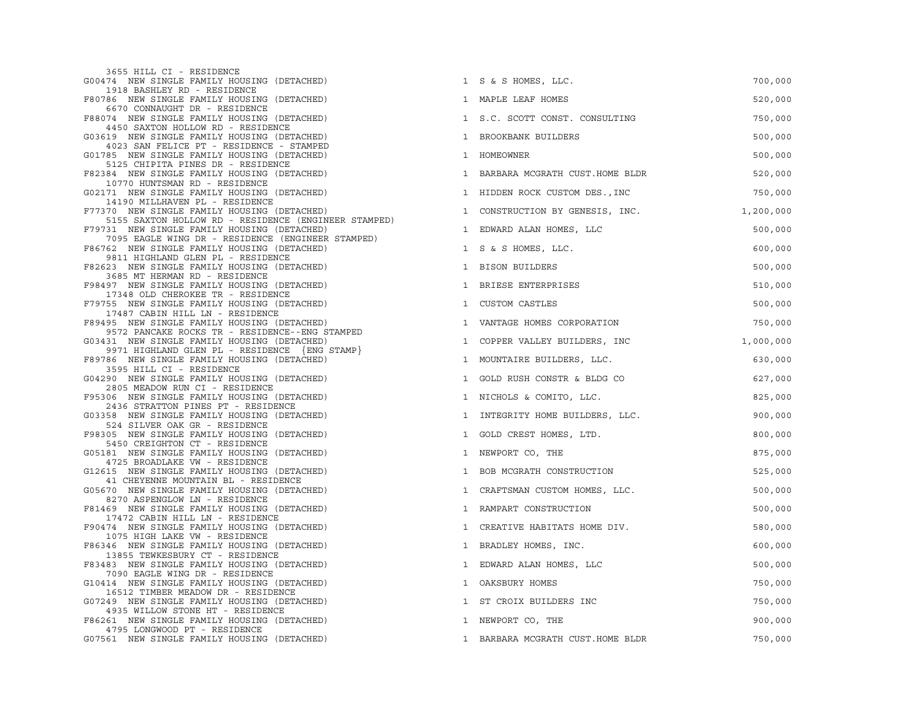| 3655 HILL CI - RESIDENCE                                                                            |                                               |           |
|-----------------------------------------------------------------------------------------------------|-----------------------------------------------|-----------|
| G00474 NEW SINGLE FAMILY HOUSING (DETACHED)<br>1918 BASHLEY RD - RESIDENCE                          | 1 S & S HOMES, LLC.                           | 700,000   |
| F80786 NEW SINGLE FAMILY HOUSING (DETACHED)                                                         | 1 MAPLE LEAF HOMES                            | 520,000   |
| 6670 CONNAUGHT DR - RESIDENCE<br>F88074 NEW SINGLE FAMILY HOUSING (DETACHED)                        | 1 S.C. SCOTT CONST. CONSULTING                | 750,000   |
| 4450 SAXTON HOLLOW RD - RESIDENCE<br>G03619 NEW SINGLE FAMILY HOUSING (DETACHED)                    | $\mathbf{1}$<br>BROOKBANK BUILDERS            | 500,000   |
| 4023 SAN FELICE PT - RESIDENCE - STAMPED<br>G01785 NEW SINGLE FAMILY HOUSING (DETACHED)             | 1 HOMEOWNER                                   | 500,000   |
| 5125 CHIPITA PINES DR - RESIDENCE<br>F82384 NEW SINGLE FAMILY HOUSING (DETACHED)                    | 1 BARBARA MCGRATH CUST.HOME BLDR              | 520,000   |
| 10770 HUNTSMAN RD - RESIDENCE<br>G02171 NEW SINGLE FAMILY HOUSING (DETACHED)                        | 1 HIDDEN ROCK CUSTOM DES., INC                | 750,000   |
| 14190 MILLHAVEN PL - RESIDENCE<br>F77370 NEW SINGLE FAMILY HOUSING (DETACHED)                       | CONSTRUCTION BY GENESIS, INC.<br>$\mathbf{1}$ | 1,200,000 |
| 5155 SAXTON HOLLOW RD - RESIDENCE (ENGINEER STAMPED)<br>F79731 NEW SINGLE FAMILY HOUSING (DETACHED) | 1 EDWARD ALAN HOMES, LLC                      | 500,000   |
| 7095 EAGLE WING DR - RESIDENCE (ENGINEER STAMPED)<br>F86762 NEW SINGLE FAMILY HOUSING (DETACHED)    | 1 S & S HOMES, LLC.                           | 600,000   |
| 9811 HIGHLAND GLEN PL - RESIDENCE<br>F82623 NEW SINGLE FAMILY HOUSING (DETACHED)                    | 1 BISON BUILDERS                              | 500,000   |
| 3685 MT HERMAN RD - RESIDENCE                                                                       | 1 BRIESE ENTERPRISES                          |           |
| F98497 NEW SINGLE FAMILY HOUSING (DETACHED)<br>17348 OLD CHEROKEE TR - RESIDENCE                    |                                               | 510,000   |
| F79755 NEW SINGLE FAMILY HOUSING (DETACHED)<br>17487 CABIN HILL LN - RESIDENCE                      | <b>CUSTOM CASTLES</b><br>$\mathbf{1}$         | 500,000   |
| F89495 NEW SINGLE FAMILY HOUSING (DETACHED)<br>9572 PANCAKE ROCKS TR - RESIDENCE--ENG STAMPED       | 1 VANTAGE HOMES CORPORATION                   | 750,000   |
| G03431 NEW SINGLE FAMILY HOUSING (DETACHED)                                                         | 1 COPPER VALLEY BUILDERS, INC                 | 1,000,000 |
| 9971 HIGHLAND GLEN PL - RESIDENCE {ENG STAMP}<br>F89786 NEW SINGLE FAMILY HOUSING (DETACHED)        | 1 MOUNTAIRE BUILDERS, LLC.                    | 630,000   |
| 3595 HILL CI - RESIDENCE<br>G04290 NEW SINGLE FAMILY HOUSING (DETACHED)                             | GOLD RUSH CONSTR & BLDG CO<br>$\mathbf{1}$    | 627,000   |
| 2805 MEADOW RUN CI - RESIDENCE<br>F95306 NEW SINGLE FAMILY HOUSING (DETACHED)                       | 1 NICHOLS & COMITO, LLC.                      | 825,000   |
| 2436 STRATTON PINES PT - RESIDENCE<br>G03358 NEW SINGLE FAMILY HOUSING (DETACHED)                   | 1 INTEGRITY HOME BUILDERS, LLC.               | 900,000   |
| 524 SILVER OAK GR - RESIDENCE<br>F98305 NEW SINGLE FAMILY HOUSING (DETACHED)                        | 1 GOLD CREST HOMES, LTD.                      | 800,000   |
| 5450 CREIGHTON CT - RESIDENCE<br>G05181 NEW SINGLE FAMILY HOUSING (DETACHED)                        | 1 NEWPORT CO, THE                             | 875,000   |
| 4725 BROADLAKE VW - RESIDENCE<br>G12615 NEW SINGLE FAMILY HOUSING (DETACHED)                        | 1 BOB MCGRATH CONSTRUCTION                    | 525,000   |
| 41 CHEYENNE MOUNTAIN BL - RESIDENCE<br>G05670 NEW SINGLE FAMILY HOUSING (DETACHED)                  | $\mathbf{1}$<br>CRAFTSMAN CUSTOM HOMES, LLC.  | 500,000   |
| 8270 ASPENGLOW LN - RESIDENCE<br>F81469 NEW SINGLE FAMILY HOUSING (DETACHED)                        | 1 RAMPART CONSTRUCTION                        | 500,000   |
| 17472 CABIN HILL LN - RESIDENCE                                                                     |                                               |           |
| F90474 NEW SINGLE FAMILY HOUSING (DETACHED)<br>1075 HIGH LAKE VW - RESIDENCE                        | 1 CREATIVE HABITATS HOME DIV.                 | 580,000   |
| F86346 NEW SINGLE FAMILY HOUSING (DETACHED)<br>13855 TEWKESBURY CT - RESIDENCE                      | 1 BRADLEY HOMES, INC.                         | 600,000   |
| F83483 NEW SINGLE FAMILY HOUSING (DETACHED)<br>7090 EAGLE WING DR - RESIDENCE                       | 1 EDWARD ALAN HOMES, LLC                      | 500,000   |
| G10414 NEW SINGLE FAMILY HOUSING (DETACHED)                                                         | OAKSBURY HOMES<br>$\mathbf{1}$                | 750,000   |
| 16512 TIMBER MEADOW DR - RESIDENCE<br>G07249 NEW SINGLE FAMILY HOUSING (DETACHED)                   | 1 ST CROIX BUILDERS INC                       | 750,000   |
| 4935 WILLOW STONE HT - RESIDENCE<br>F86261 NEW SINGLE FAMILY HOUSING (DETACHED)                     | 1 NEWPORT CO, THE                             | 900,000   |
| 4795 LONGWOOD PT - RESIDENCE<br>G07561 NEW SINGLE FAMILY HOUSING (DETACHED)                         | 1 BARBARA MCGRATH CUST. HOME BLDR             | 750,000   |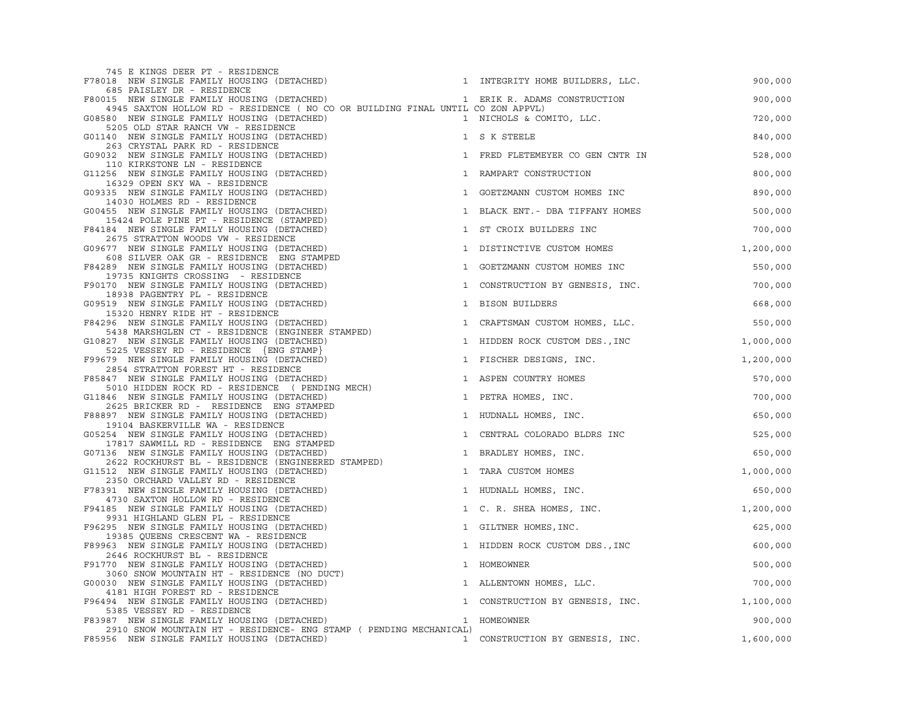| 745 E KINGS DEER PT - RESIDENCE                                                                                                |                                  |           |
|--------------------------------------------------------------------------------------------------------------------------------|----------------------------------|-----------|
| F78018 NEW SINGLE FAMILY HOUSING (DETACHED)                                                                                    | 1 INTEGRITY HOME BUILDERS, LLC.  | 900,000   |
| 685 PAISLEY DR - RESIDENCE<br>F80015 NEW SINGLE FAMILY HOUSING (DETACHED)                                                      | 1 ERIK R. ADAMS CONSTRUCTION     | 900,000   |
| 4945 SAXTON HOLLOW RD - RESIDENCE ( NO CO OR BUILDING FINAL UNTIL CO ZON APPVL)<br>G08580 NEW SINGLE FAMILY HOUSING (DETACHED) | 1 NICHOLS & COMITO, LLC.         | 720,000   |
| 5205 OLD STAR RANCH VW - RESIDENCE                                                                                             |                                  |           |
| G01140 NEW SINGLE FAMILY HOUSING (DETACHED)<br>263 CRYSTAL PARK RD - RESIDENCE                                                 | 1 S K STEELE                     | 840,000   |
| G09032 NEW SINGLE FAMILY HOUSING (DETACHED)<br>110 KIRKSTONE LN - RESIDENCE                                                    | 1 FRED FLETEMEYER CO GEN CNTR IN | 528,000   |
| G11256 NEW SINGLE FAMILY HOUSING (DETACHED)<br>16329 OPEN SKY WA - RESIDENCE                                                   | 1 RAMPART CONSTRUCTION           | 800,000   |
| G09335 NEW SINGLE FAMILY HOUSING (DETACHED)<br>14030 HOLMES RD - RESIDENCE                                                     | 1 GOETZMANN CUSTOM HOMES INC     | 890,000   |
| G00455 NEW SINGLE FAMILY HOUSING (DETACHED)<br>15424 POLE PINE PT - RESIDENCE (STAMPED)                                        | 1 BLACK ENT. - DBA TIFFANY HOMES | 500,000   |
| F84184 NEW SINGLE FAMILY HOUSING (DETACHED)<br>$\mathbf{1}$<br>2675 STRATTON WOODS VW - RESIDENCE                              | ST CROIX BUILDERS INC            | 700,000   |
| G09677 NEW SINGLE FAMILY HOUSING (DETACHED)<br>608 SILVER OAK GR - RESIDENCE ENG STAMPED                                       | 1 DISTINCTIVE CUSTOM HOMES       | 1,200,000 |
| F84289 NEW SINGLE FAMILY HOUSING (DETACHED)<br>19735 KNIGHTS CROSSING - RESIDENCE                                              | 1 GOETZMANN CUSTOM HOMES INC     | 550,000   |
| F90170 NEW SINGLE FAMILY HOUSING (DETACHED)<br>18938 PAGENTRY PL - RESIDENCE                                                   | 1 CONSTRUCTION BY GENESIS, INC.  | 700,000   |
| G09519 NEW SINGLE FAMILY HOUSING (DETACHED)<br>$\mathbf{1}$<br>15320 HENRY RIDE HT - RESIDENCE                                 | BISON BUILDERS                   | 668,000   |
| F84296 NEW SINGLE FAMILY HOUSING (DETACHED)<br>$\mathbf{1}$<br>5438 MARSHGLEN CT - RESIDENCE (ENGINEER STAMPED)                | CRAFTSMAN CUSTOM HOMES, LLC.     | 550,000   |
| G10827 NEW SINGLE FAMILY HOUSING (DETACHED)                                                                                    | 1 HIDDEN ROCK CUSTOM DES., INC   | 1,000,000 |
| 5225 VESSEY RD - RESIDENCE {ENG STAMP}<br>F99679 NEW SINGLE FAMILY HOUSING (DETACHED)                                          | 1 FISCHER DESIGNS, INC.          | 1,200,000 |
| 2854 STRATTON FOREST HT - RESIDENCE<br>F85847 NEW SINGLE FAMILY HOUSING (DETACHED)                                             | 1 ASPEN COUNTRY HOMES            | 570,000   |
| 5010 HIDDEN ROCK RD - RESIDENCE (PENDING MECH)<br>G11846 NEW SINGLE FAMILY HOUSING (DETACHED)<br>$\mathbf{1}$                  | PETRA HOMES, INC.                | 700,000   |
| 2625 BRICKER RD - RESIDENCE ENG STAMPED<br>F88897 NEW SINGLE FAMILY HOUSING (DETACHED)                                         | 1 HUDNALL HOMES, INC.            | 650,000   |
| 19104 BASKERVILLE WA - RESIDENCE<br>G05254 NEW SINGLE FAMILY HOUSING (DETACHED)                                                | 1 CENTRAL COLORADO BLDRS INC     | 525,000   |
| 17817 SAWMILL RD - RESIDENCE ENG STAMPED<br>G07136 NEW SINGLE FAMILY HOUSING (DETACHED)                                        | 1 BRADLEY HOMES, INC.            | 650,000   |
| 2622 ROCKHURST BL - RESIDENCE (ENGINEERED STAMPED)<br>G11512 NEW SINGLE FAMILY HOUSING (DETACHED)                              | 1 TARA CUSTOM HOMES              | 1,000,000 |
| 2350 ORCHARD VALLEY RD - RESIDENCE<br>F78391 NEW SINGLE FAMILY HOUSING (DETACHED)                                              | 1 HUDNALL HOMES, INC.            | 650,000   |
| 4730 SAXTON HOLLOW RD - RESIDENCE<br>F94185 NEW SINGLE FAMILY HOUSING (DETACHED)                                               | 1 C. R. SHEA HOMES, INC.         | 1,200,000 |
| 9931 HIGHLAND GLEN PL - RESIDENCE<br>F96295 NEW SINGLE FAMILY HOUSING (DETACHED)                                               | 1 GILTNER HOMES, INC.            | 625,000   |
| 19385 QUEENS CRESCENT WA - RESIDENCE<br>F89963 NEW SINGLE FAMILY HOUSING (DETACHED)                                            | 1 HIDDEN ROCK CUSTOM DES., INC   | 600,000   |
| 2646 ROCKHURST BL - RESIDENCE<br>F91770 NEW SINGLE FAMILY HOUSING (DETACHED)                                                   | 1 HOMEOWNER                      | 500,000   |
| 3060 SNOW MOUNTAIN HT - RESIDENCE (NO DUCT)<br>G00030 NEW SINGLE FAMILY HOUSING (DETACHED)                                     | 1 ALLENTOWN HOMES, LLC.          | 700,000   |
| 4181 HIGH FOREST RD - RESIDENCE                                                                                                |                                  |           |
| F96494 NEW SINGLE FAMILY HOUSING (DETACHED)<br>5385 VESSEY RD - RESIDENCE                                                      | 1 CONSTRUCTION BY GENESIS, INC.  | 1,100,000 |
| F83987 NEW SINGLE FAMILY HOUSING (DETACHED)                                                                                    | 1 HOMEOWNER                      | 900,000   |
| 2910 SNOW MOUNTAIN HT - RESIDENCE- ENG STAMP ( PENDING MECHANICAL)<br>F85956 NEW SINGLE FAMILY HOUSING (DETACHED)              | 1 CONSTRUCTION BY GENESIS, INC.  | 1,600,000 |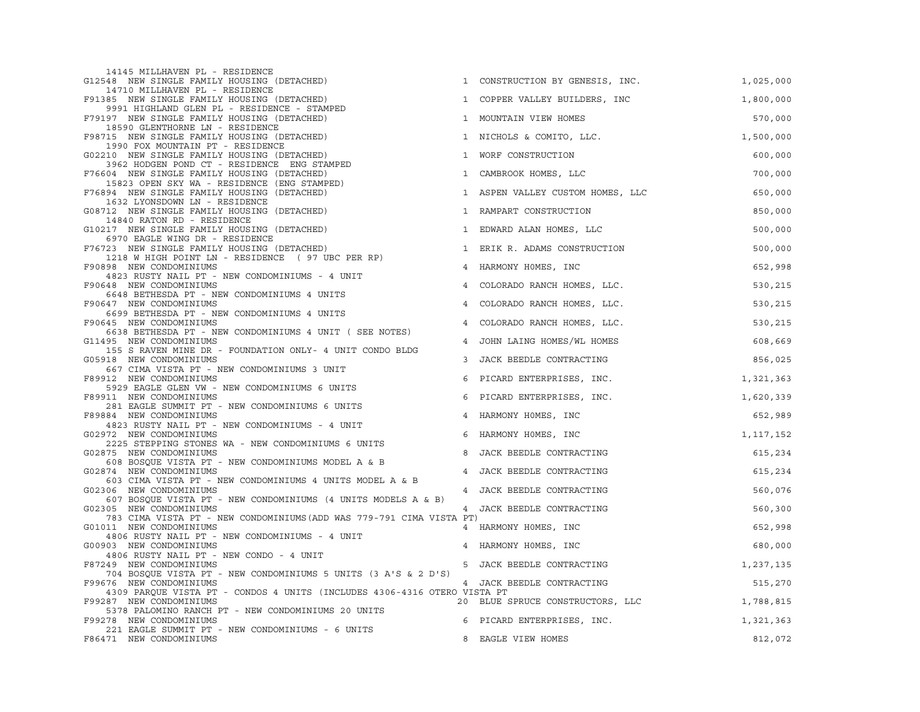| 14145 MILLHAVEN PL - RESIDENCE<br>G12548 NEW SINGLE FAMILY HOUSING (DETACHED)                       |                | 1 CONSTRUCTION BY GENESIS, INC.  | 1,025,000 |
|-----------------------------------------------------------------------------------------------------|----------------|----------------------------------|-----------|
| 14710 MILLHAVEN PL - RESIDENCE<br>F91385 NEW SINGLE FAMILY HOUSING (DETACHED)                       |                | 1 COPPER VALLEY BUILDERS, INC    | 1,800,000 |
| 9991 HIGHLAND GLEN PL - RESIDENCE - STAMPED<br>F79197 NEW SINGLE FAMILY HOUSING (DETACHED)          |                | 1 MOUNTAIN VIEW HOMES            | 570,000   |
| 18590 GLENTHORNE LN - RESIDENCE<br>F98715 NEW SINGLE FAMILY HOUSING (DETACHED)                      |                | 1 NICHOLS & COMITO, LLC.         | 1,500,000 |
| 1990 FOX MOUNTAIN PT - RESIDENCE<br>G02210 NEW SINGLE FAMILY HOUSING (DETACHED)                     | $\mathbf{1}$   | WORF CONSTRUCTION                | 600,000   |
| 3962 HODGEN POND CT - RESIDENCE ENG STAMPED<br>F76604 NEW SINGLE FAMILY HOUSING (DETACHED)          | $\mathbf{1}$   | CAMBROOK HOMES, LLC              | 700,000   |
| 15823 OPEN SKY WA - RESIDENCE (ENG STAMPED)<br>F76894 NEW SINGLE FAMILY HOUSING (DETACHED)          |                | 1 ASPEN VALLEY CUSTOM HOMES, LLC | 650,000   |
| 1632 LYONSDOWN LN - RESIDENCE<br>G08712 NEW SINGLE FAMILY HOUSING (DETACHED)                        | $\mathbf{1}$   | RAMPART CONSTRUCTION             | 850,000   |
| 14840 RATON RD - RESIDENCE<br>G10217 NEW SINGLE FAMILY HOUSING (DETACHED)                           |                | 1 EDWARD ALAN HOMES, LLC         | 500,000   |
| 6970 EAGLE WING DR - RESIDENCE<br>F76723 NEW SINGLE FAMILY HOUSING (DETACHED)                       | $\mathbf{1}$   | ERIK R. ADAMS CONSTRUCTION       | 500,000   |
| 1218 W HIGH POINT LN - RESIDENCE (97 UBC PER RP)                                                    |                |                                  |           |
| F90898 NEW CONDOMINIUMS<br>4823 RUSTY NAIL PT - NEW CONDOMINIUMS - 4 UNIT                           | $\overline{4}$ | HARMONY HOMES, INC               | 652,998   |
| F90648 NEW CONDOMINIUMS<br>6648 BETHESDA PT - NEW CONDOMINIUMS 4 UNITS                              | 4              | COLORADO RANCH HOMES, LLC.       | 530,215   |
| F90647 NEW CONDOMINIUMS<br>6699 BETHESDA PT - NEW CONDOMINIUMS 4 UNITS                              | $\overline{4}$ | COLORADO RANCH HOMES, LLC.       | 530,215   |
| F90645 NEW CONDOMINIUMS                                                                             | $\overline{4}$ | COLORADO RANCH HOMES, LLC.       | 530,215   |
| 6638 BETHESDA PT - NEW CONDOMINIUMS 4 UNIT ( SEE NOTES)<br>G11495 NEW CONDOMINIUMS                  | 4              | JOHN LAING HOMES/WL HOMES        | 608,669   |
| 155 S RAVEN MINE DR - FOUNDATION ONLY- 4 UNIT CONDO BLDG<br>G05918 NEW CONDOMINIUMS                 | 3              | JACK BEEDLE CONTRACTING          | 856,025   |
| 667 CIMA VISTA PT - NEW CONDOMINIUMS 3 UNIT<br>F89912 NEW CONDOMINIUMS                              | 6              | PICARD ENTERPRISES, INC.         | 1,321,363 |
| 5929 EAGLE GLEN VW - NEW CONDOMINIUMS 6 UNITS                                                       |                |                                  |           |
| F89911 NEW CONDOMINIUMS<br>281 EAGLE SUMMIT PT - NEW CONDOMINIUMS 6 UNITS                           | 6              | PICARD ENTERPRISES, INC.         | 1,620,339 |
| F89884 NEW CONDOMINIUMS<br>4823 RUSTY NAIL PT - NEW CONDOMINIUMS - 4 UNIT                           | $\overline{4}$ | HARMONY HOMES, INC               | 652,989   |
| G02972 NEW CONDOMINIUMS                                                                             |                | 6 HARMONY HOMES, INC             | 1,117,152 |
| 2225 STEPPING STONES WA - NEW CONDOMINIUMS 6 UNITS<br>G02875 NEW CONDOMINIUMS                       | 8              | JACK BEEDLE CONTRACTING          | 615,234   |
| 608 BOSQUE VISTA PT - NEW CONDOMINIUMS MODEL A & B<br>G02874 NEW CONDOMINIUMS                       | $\overline{4}$ | JACK BEEDLE CONTRACTING          | 615,234   |
| 603 CIMA VISTA PT - NEW CONDOMINIUMS 4 UNITS MODEL A & B                                            |                |                                  |           |
| G02306 NEW CONDOMINIUMS<br>607 BOSQUE VISTA PT - NEW CONDOMINIUMS (4 UNITS MODELS A & B)            |                | 4 JACK BEEDLE CONTRACTING        | 560,076   |
| G02305 NEW CONDOMINIUMS<br>783 CIMA VISTA PT - NEW CONDOMINIUMS (ADD WAS 779-791 CIMA VISTA PT)     |                | 4 JACK BEEDLE CONTRACTING        | 560,300   |
| G01011 NEW CONDOMINIUMS<br>4806 RUSTY NAIL PT - NEW CONDOMINIUMS - 4 UNIT                           |                | 4 HARMONY HOMES, INC             | 652,998   |
| G00903 NEW CONDOMINIUMS                                                                             |                | 4 HARMONY HOMES, INC             | 680,000   |
| 4806 RUSTY NAIL PT - NEW CONDO - 4 UNIT<br>F87249 NEW CONDOMINIUMS                                  |                | 5 JACK BEEDLE CONTRACTING        | 1,237,135 |
| 704 BOSQUE VISTA PT - NEW CONDOMINIUMS 5 UNITS (3 A'S & 2 D'S)                                      |                |                                  |           |
| F99676 NEW CONDOMINIUMS<br>4309 PARQUE VISTA PT - CONDOS 4 UNITS (INCLUDES 4306-4316 OTERO VISTA PT |                | 4 JACK BEEDLE CONTRACTING        | 515,270   |
| F99287 NEW CONDOMINIUMS                                                                             |                | 20 BLUE SPRUCE CONSTRUCTORS, LLC | 1,788,815 |
| 5378 PALOMINO RANCH PT - NEW CONDOMINIUMS 20 UNITS<br>F99278 NEW CONDOMINIUMS                       |                | 6 PICARD ENTERPRISES, INC.       | 1,321,363 |
| 221 EAGLE SUMMIT PT - NEW CONDOMINIUMS - 6 UNITS<br>F86471 NEW CONDOMINIUMS                         | 8              | EAGLE VIEW HOMES                 | 812,072   |
|                                                                                                     |                |                                  |           |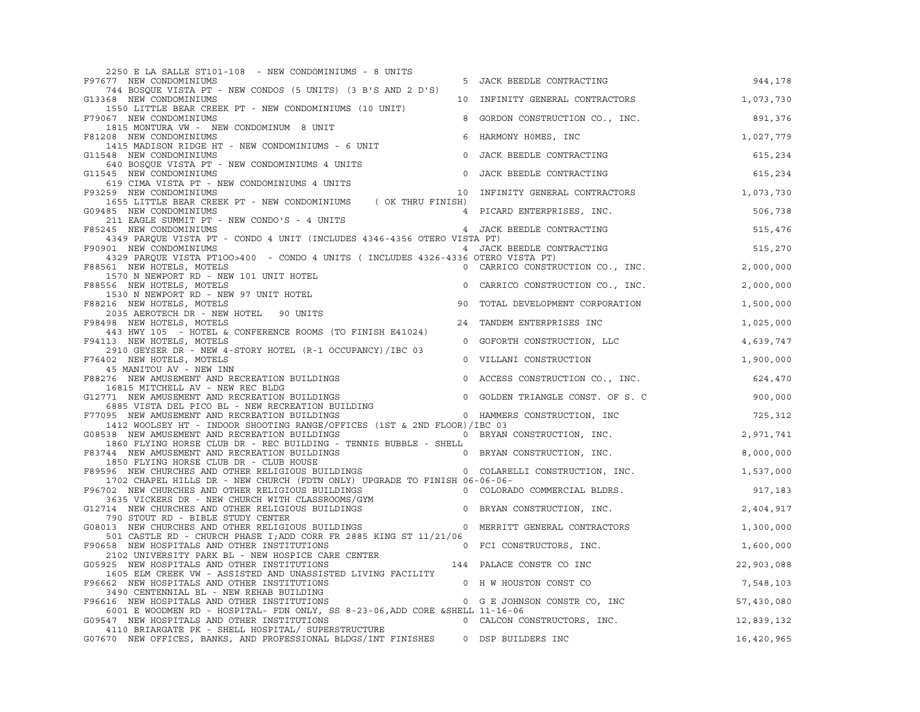| 2250 E LA SALLE ST101-108 - NEW CONDOMINIUMS - 8 UNITS                                                                                                                                                             |                                                 |            |
|--------------------------------------------------------------------------------------------------------------------------------------------------------------------------------------------------------------------|-------------------------------------------------|------------|
| F97677 NEW CONDOMINIUMS                                                                                                                                                                                            | 5 JACK BEEDLE CONTRACTING                       | 944,178    |
| 744 BOSQUE VISTA PT - NEW CONDOS (5 UNITS) (3 B'S AND 2 D'S)<br>G13368 NEW CONDOMINIUMS                                                                                                                            | 10 INFINITY GENERAL CONTRACTORS                 | 1,073,730  |
| 1550 LITTLE BEAR CREEK PT - NEW CONDOMINIUMS (10 UNIT)                                                                                                                                                             |                                                 |            |
| F79067 NEW CONDOMINIUMS                                                                                                                                                                                            | 8 GORDON CONSTRUCTION CO., INC.                 | 891,376    |
| 1815 MONTURA VW - NEW CONDOMINUM 8 UNIT                                                                                                                                                                            |                                                 |            |
| F81208 NEW CONDOMINIUMS<br>6<br>1415 MADISON RIDGE HT - NEW CONDOMINIUMS - 6 UNIT                                                                                                                                  | HARMONY HOMES, INC                              | 1,027,779  |
| G11548 NEW CONDOMINIUMS<br>$\circ$                                                                                                                                                                                 | JACK BEEDLE CONTRACTING                         | 615,234    |
| 640 BOSQUE VISTA PT - NEW CONDOMINIUMS 4 UNITS                                                                                                                                                                     |                                                 |            |
| $\circ$<br>G11545 NEW CONDOMINIUMS<br>545 NEW CONDOMINIONS<br>619 CIMA VISTA PT - NEW CONDOMINIUMS 4 UNITS<br>10 INFINITY GENERAL CONTRACTORS                                                                      | JACK BEEDLE CONTRACTING                         | 615,234    |
| F93259 NEW CONDOMINIUMS                                                                                                                                                                                            |                                                 | 1,073,730  |
| 1655 LITTLE BEAR CREEK PT - NEW CONDOMINIUMS (OK THRU FINISH)                                                                                                                                                      |                                                 |            |
| G09485 NEW CONDOMINIUMS<br>211 EAGLE SUMMIT PT - NEW CONDO'S - 4 UNITS                                                                                                                                             | 4 PICARD ENTERPRISES, INC.                      | 506,738    |
| F85245 NEW CONDOMINIUMS                                                                                                                                                                                            | 4 JACK BEEDLE CONTRACTING                       | 515,476    |
| 4349 PARQUE VISTA PT - CONDO 4 UNIT (INCLUDES 4346-4356 OTERO VISTA PT)                                                                                                                                            |                                                 |            |
| F90901 NEW CONDOMINIUMS<br>4329 PARQUE VISTA PT100>400 - CONDO 4 UNITS ( INCLUDES 4326-4336 OTERO VISTA PT)                                                                                                        | 4 JACK BEEDLE CONTRACTING<br>36 OTERO VICTA PT) | 515,270    |
| F88561 NEW HOTELS, MOTELS                                                                                                                                                                                          | 0 CARRICO CONSTRUCTION CO., INC.                | 2,000,000  |
| 1570 N NEWPORT RD - NEW 101 UNIT HOTEL                                                                                                                                                                             |                                                 |            |
| F88556 NEW HOTELS, MOTELS<br>1530 N NEWPORT RD - NEW 97 UNIT HOTEL                                                                                                                                                 | 0 CARRICO CONSTRUCTION CO., INC.                | 2,000,000  |
| F88216 NEW HOTELS, MOTELS<br>90                                                                                                                                                                                    | TOTAL DEVELOPMENT CORPORATION                   | 1,500,000  |
| 2035 AEROTECH DR - NEW HOTEL 90 UNITS<br>F98498 NEW HOTELS, MOTELS                                                                                                                                                 |                                                 |            |
| 443 HWY 105 - HOTEL & CONFERENCE ROOMS (TO FINISH E41024)                                                                                                                                                          | 24 TANDEM ENTERPRISES INC                       | 1,025,000  |
| F94113 NEW HOTELS, MOTELS                                                                                                                                                                                          | 0 GOFORTH CONSTRUCTION, LLC                     | 4,639,747  |
| 2910 GEYSER DR - NEW 4-STORY HOTEL (R-1 OCCUPANCY)/IBC 03<br>F76402 NEW HOTELS, MOTELS                                                                                                                             | 0 VILLANI CONSTRUCTION                          | 1,900,000  |
| 45 MANITOU AV - NEW INN                                                                                                                                                                                            |                                                 |            |
| F88276 NEW AMUSEMENT AND RECREATION BUILDINGS                                                                                                                                                                      | 0 ACCESS CONSTRUCTION CO., INC.                 | 624,470    |
| 16815 MITCHELL AV - NEW REC BLDG<br>G12771 NEW AMUSEMENT AND RECREATION BUILDINGS                                                                                                                                  | 0 GOLDEN TRIANGLE CONST. OF S. C                | 900,000    |
| 10015 MILLIELL AV – NEW NECREATION BUILDINGS<br>6885 VISTA DEL PICO BL – NEW RECREATION BUILDING<br>995 NEW AMUSEMENT AND RECREATION BUILDINGS                                                                     |                                                 |            |
| F77095 NEW AMUSEMENT AND RECREATION BUILDINGS                                                                                                                                                                      | 0 HAMMERS CONSTRUCTION, INC                     | 725, 312   |
| 1412 WOOLSEY HT - INDOOR SHOOTING RANGE/OFFICES (1ST & 2ND FLOOR)/IBC 03<br>G08538 NEW AMUSEMENT AND RECREATION BUILDINGS                                                                                          | O BRYAN CONSTRUCTION, INC.                      | 2,971,741  |
| 1860 FLYING HORSE CLUB DR - REC BUILDING - TENNIS BUBBLE - SHELL                                                                                                                                                   |                                                 |            |
| F83744 NEW AMUSEMENT AND RECREATION BUILDINGS OF THE REAL ORDER OCNSTRUCTION, INC.                                                                                                                                 |                                                 | 8,000,000  |
| The Term of the CLUB DR - CLUB HOUSE<br>F89596 NEW CHURCHES AND OTHER RELIGIOUS BUILDINGS<br>F89596 NEW CHURCHES AND OTHER RELIGIOUS BUILDINGS 0 COLARELLI CONSTRUCTION, INC.                                      |                                                 | 1,537,000  |
| 1702 CHAPEL HILLS DR - NEW CHURCH (FDTN ONLY) UPGRADE TO FINISH 06-06-06-                                                                                                                                          |                                                 |            |
| F96702 NEW CHURCHES AND OTHER RELIGIOUS BUILDINGS 0 COLORADO COMMERCIAL BLDRS.                                                                                                                                     |                                                 | 917,183    |
| 3635 VICKERS DR - NEW CHURCH WITH CLASSROOMS/GYM<br>G12714 NEW CHURCHES AND OTHER RELIGIOUS BUILDINGS 0 BRYAN CONSTRUCTION, INC.                                                                                   |                                                 | 2,404,917  |
| 790 STOUT RD - BIBLE STUDY CENTER<br>G08013 NEW CHURCHES AND OTHER RELIGIOUS BUILDINGS 0 MERRITT GENERAL CONTRACTORS                                                                                               |                                                 |            |
| 501 CASTLE RD - CHURCH PHASE I; ADD CORR FR 2885 KING ST 11/21/06                                                                                                                                                  |                                                 | 1,300,000  |
| 301 CASH HOSPITALS AND OTHER INSTITUTIONS<br>2102 UNIVERSITY PARK BL - NEW HOSPICE CARE CENTER<br>225 NEW HOSPITALS AND OTHER INSTITUTIONS 144 PALACE CONSTR CO INC<br>F90658 NEW HOSPITALS AND OTHER INSTITUTIONS | 0 FCI CONSTRUCTORS, INC.                        | 1,600,000  |
| G05925 NEW HOSPITALS AND OTHER INSTITUTIONS                                                                                                                                                                        |                                                 | 22,903,088 |
| 1605 ELM CREEK VW - ASSISTED AND UNASSISTED LIVING FACILITY                                                                                                                                                        |                                                 |            |
| F96662 NEW HOSPITALS AND OTHER INSTITUTIONS<br>0 H W HOUSTON CONST CO                                                                                                                                              |                                                 | 7,548,103  |
| 3490 CENTENNIAL BL - NEW REHAB BUILDING<br>F96616 NEW HOSPITALS AND OTHER INSTITUTIONS                                                                                                                             | 0 G E JOHNSON CONSTR CO, INC                    | 57,430,080 |
| 6001 E WOODMEN RD - HOSPITAL- FDN ONLY, SS 8-23-06, ADD CORE & SHELL 11-16-06                                                                                                                                      |                                                 |            |
| G09547 NEW HOSPITALS AND OTHER INSTITUTIONS                                                                                                                                                                        | 0 CALCON CONSTRUCTORS, INC.                     | 12,839,132 |
| 4110 BRIARGATE PK - SHELL HOSPITAL/ SUPERSTRUCTURE<br>G07670 NEW OFFICES, BANKS, AND PROFESSIONAL BLDGS/INT FINISHES                                                                                               | 0 DSP BUILDERS INC                              | 16,420,965 |
|                                                                                                                                                                                                                    |                                                 |            |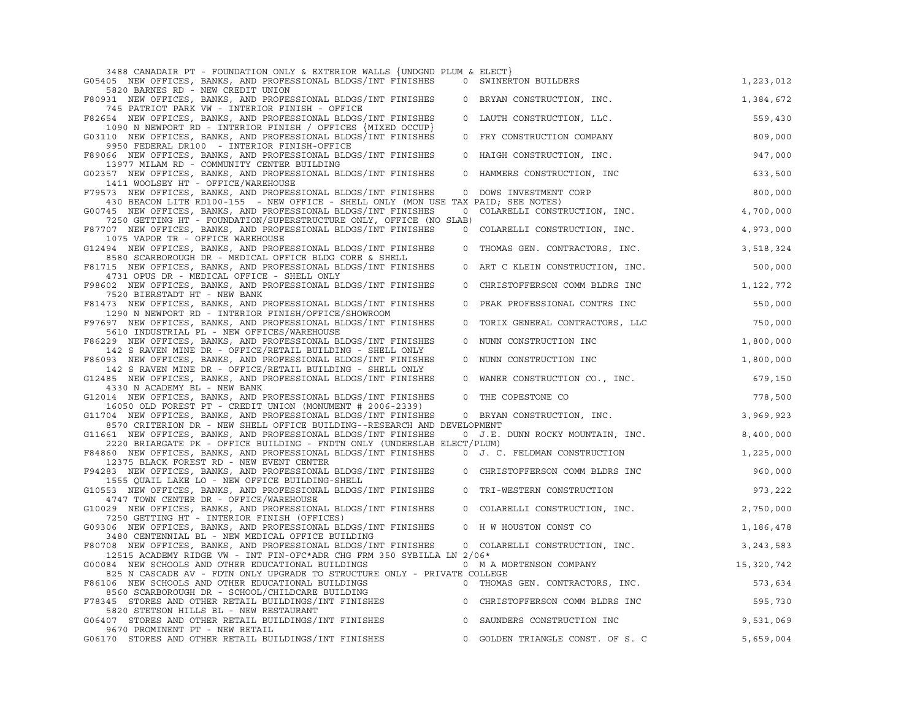| 3488 CANADAIR PT - FOUNDATION ONLY & EXTERIOR WALLS {UNDGND PLUM & ELECT}                                                                                                                         |              |                                  |            |
|---------------------------------------------------------------------------------------------------------------------------------------------------------------------------------------------------|--------------|----------------------------------|------------|
| G05405 NEW OFFICES, BANKS, AND PROFESSIONAL BLDGS/INT FINISHES<br>5820 BARNES RD - NEW CREDIT UNION                                                                                               |              | 0 SWINERTON BUILDERS             | 1,223,012  |
| F80931 NEW OFFICES, BANKS, AND PROFESSIONAL BLDGS/INT FINISHES<br>745 PATRIOT PARK VW - INTERIOR FINISH - OFFICE                                                                                  |              | 0 BRYAN CONSTRUCTION, INC.       | 1,384,672  |
| F82654 NEW OFFICES, BANKS, AND PROFESSIONAL BLDGS/INT FINISHES                                                                                                                                    | $\Omega$     | LAUTH CONSTRUCTION, LLC.         | 559,430    |
| 1090 N NEWPORT RD - INTERIOR FINISH / OFFICES {MIXED OCCUP}<br>G03110 NEW OFFICES, BANKS, AND PROFESSIONAL BLDGS/INT FINISHES<br>9950 FEDERAL DR100 - INTERIOR FINISH-OFFICE                      | $\circ$      | FRY CONSTRUCTION COMPANY         | 809,000    |
| F89066 NEW OFFICES, BANKS, AND PROFESSIONAL BLDGS/INT FINISHES                                                                                                                                    | $\circ$      | HAIGH CONSTRUCTION, INC.         | 947,000    |
| 13977 MILAM RD - COMMUNITY CENTER BUILDING<br>G02357 NEW OFFICES, BANKS, AND PROFESSIONAL BLDGS/INT FINISHES                                                                                      | $\circ$      | HAMMERS CONSTRUCTION, INC        | 633,500    |
| 1411 WOOLSEY HT - OFFICE/WAREHOUSE<br>F79573 NEW OFFICES, BANKS, AND PROFESSIONAL BLDGS/INT FINISHES                                                                                              | $\circ$      | DOWS INVESTMENT CORP             | 800,000    |
| 430 BEACON LITE RD100-155 - NEW OFFICE - SHELL ONLY (MON USE TAX PAID; SEE NOTES)<br>G00745 NEW OFFICES, BANKS, AND PROFESSIONAL BLDGS/INT FINISHES                                               | $\mathbf{0}$ | COLARELLI CONSTRUCTION, INC.     | 4,700,000  |
| 7250 GETTING HT - FOUNDATION/SUPERSTRUCTURE ONLY, OFFICE (NO SLAB)                                                                                                                                |              |                                  |            |
| F87707 NEW OFFICES, BANKS, AND PROFESSIONAL BLDGS/INT FINISHES<br>1075 VAPOR TR - OFFICE WAREHOUSE                                                                                                | $\mathbf 0$  | COLARELLI CONSTRUCTION, INC.     | 4,973,000  |
| G12494 NEW OFFICES, BANKS, AND PROFESSIONAL BLDGS/INT FINISHES<br>8580 SCARBOROUGH DR - MEDICAL OFFICE BLDG CORE & SHELL                                                                          | $\circ$      | THOMAS GEN. CONTRACTORS, INC.    | 3,518,324  |
| F81715 NEW OFFICES, BANKS, AND PROFESSIONAL BLDGS/INT FINISHES<br>4731 OPUS DR - MEDICAL OFFICE - SHELL ONLY                                                                                      |              | 0 ART C KLEIN CONSTRUCTION, INC. | 500,000    |
| F98602 NEW OFFICES, BANKS, AND PROFESSIONAL BLDGS/INT FINISHES                                                                                                                                    | $\circ$      | CHRISTOFFERSON COMM BLDRS INC    | 1,122,772  |
| 7520 BIERSTADT HT - NEW BANK<br>F81473 NEW OFFICES, BANKS, AND PROFESSIONAL BLDGS/INT FINISHES                                                                                                    | $\mathbf 0$  | PEAK PROFESSIONAL CONTRS INC     | 550,000    |
| 1290 N NEWPORT RD - INTERIOR FINISH/OFFICE/SHOWROOM<br>F97697 NEW OFFICES, BANKS, AND PROFESSIONAL BLDGS/INT FINISHES                                                                             | $\mathbf 0$  | TORIX GENERAL CONTRACTORS, LLC   | 750,000    |
| 5610 INDUSTRIAL PL - NEW OFFICES/WAREHOUSE<br>F86229 NEW OFFICES, BANKS, AND PROFESSIONAL BLDGS/INT FINISHES                                                                                      | $\mathbf 0$  | NUNN CONSTRUCTION INC            | 1,800,000  |
| 142 S RAVEN MINE DR - OFFICE/RETAIL BUILDING - SHELL ONLY<br>F86093 NEW OFFICES, BANKS, AND PROFESSIONAL BLDGS/INT FINISHES                                                                       | $\circ$      | NUNN CONSTRUCTION INC            | 1,800,000  |
| 142 S RAVEN MINE DR - OFFICE/RETAIL BUILDING - SHELL ONLY<br>G12485 NEW OFFICES, BANKS, AND PROFESSIONAL BLDGS/INT FINISHES                                                                       | $\Omega$     |                                  |            |
| 4330 N ACADEMY BL - NEW BANK                                                                                                                                                                      |              | WANER CONSTRUCTION CO., INC.     | 679,150    |
| G12014 NEW OFFICES, BANKS, AND PROFESSIONAL BLDGS/INT FINISHES<br>16050 OLD FOREST PT - CREDIT UNION (MONUMENT # 2006-2339)                                                                       | $\Omega$     | THE COPESTONE CO                 | 778,500    |
| G11704 NEW OFFICES, BANKS, AND PROFESSIONAL BLDGS/INT FINISHES                                                                                                                                    |              | 0 BRYAN CONSTRUCTION, INC.       | 3,969,923  |
| 8570 CRITERION DR - NEW SHELL OFFICE BUILDING--RESEARCH AND DEVELOPMENT<br>G11661 NEW OFFICES, BANKS, AND PROFESSIONAL BLDGS/INT FINISHES                                                         |              | 0 J.E. DUNN ROCKY MOUNTAIN, INC. | 8,400,000  |
| 2220 BRIARGATE PK - OFFICE BUILDING - FNDTN ONLY (UNDERSLAB ELECT/PLUM)<br>F84860 NEW OFFICES, BANKS, AND PROFESSIONAL BLDGS/INT FINISHES                                                         |              | 0 J. C. FELDMAN CONSTRUCTION     | 1,225,000  |
| 12375 BLACK FOREST RD - NEW EVENT CENTER                                                                                                                                                          |              |                                  |            |
| F94283 NEW OFFICES, BANKS, AND PROFESSIONAL BLDGS/INT FINISHES<br>1555 QUAIL LAKE LO - NEW OFFICE BUILDING-SHELL                                                                                  | $\circ$      | CHRISTOFFERSON COMM BLDRS INC    | 960,000    |
| G10553 NEW OFFICES, BANKS, AND PROFESSIONAL BLDGS/INT FINISHES<br>4747 TOWN CENTER DR - OFFICE/WAREHOUSE                                                                                          | $\circ$      | TRI-WESTERN CONSTRUCTION         | 973,222    |
| G10029 NEW OFFICES, BANKS, AND PROFESSIONAL BLDGS/INT FINISHES                                                                                                                                    | $\mathbf 0$  | COLARELLI CONSTRUCTION, INC.     | 2,750,000  |
| 7250 GETTING HT - INTERIOR FINISH (OFFICES)<br>G09306 NEW OFFICES, BANKS, AND PROFESSIONAL BLDGS/INT FINISHES                                                                                     |              | 0 H W HOUSTON CONST CO           | 1,186,478  |
| 3480 CENTENNIAL BL - NEW MEDICAL OFFICE BUILDING<br>F80708 NEW OFFICES, BANKS, AND PROFESSIONAL BLDGS/INT FINISHES 0 COLARELLI CONSTRUCTION, INC.                                                 |              |                                  | 3,243,583  |
| 12515 ACADEMY RIDGE VW - INT FIN-OFC*ADR CHG FRM 350 SYBILLA LN 2/06*                                                                                                                             |              |                                  |            |
| G00084 NEW SCHOOLS AND OTHER EDUCATIONAL BUILDINGS<br>825 N CASCADE AV - FDTN ONLY UPGRADE TO STRUCTURE ONLY - PRIVATE COLLEGE                                                                    |              | 0 M A MORTENSON COMPANY          | 15,320,742 |
|                                                                                                                                                                                                   |              |                                  | 573,634    |
| F86106 NEW SCHOOLS AND OTHER EDUCATIONAL BUILDINGS<br>8560 SCARBOROUGH DR - SCHOOL/CHILDCARE BUILDING<br>F78345 STORES AND OTHER RETAIL BUILDINGS/INT FINISHES<br>9 CHRISTOFFERSON COMM BLDRS INC |              |                                  |            |
| 5820 STETSON HILLS BL - NEW RESTAURANT                                                                                                                                                            |              |                                  | 595,730    |
| G06407 STORES AND OTHER RETAIL BUILDINGS/INT FINISHES                                                                                                                                             |              | 0 SAUNDERS CONSTRUCTION INC      | 9,531,069  |
| 9670 PROMINENT PT - NEW RETAIL<br>G06170 STORES AND OTHER RETAIL BUILDINGS/INT FINISHES                                                                                                           | $\Omega$     | GOLDEN TRIANGLE CONST. OF S. C   | 5,659,004  |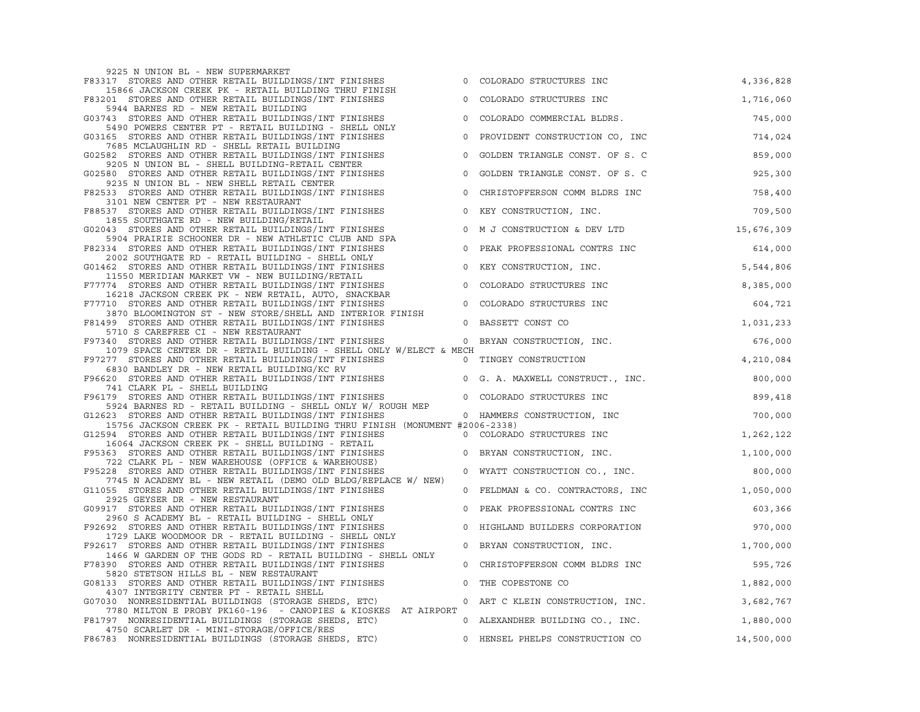| 9225 N UNION BL - NEW SUPERMARKET                                                                                                                                                                                                          |                                              |           |  |
|--------------------------------------------------------------------------------------------------------------------------------------------------------------------------------------------------------------------------------------------|----------------------------------------------|-----------|--|
|                                                                                                                                                                                                                                            | 0 COLORADO STRUCTURES INC                    | 4,336,828 |  |
| F83317 STORES AND OTHER RETAIL BUILDINGS/INT FINISHES<br>15866 JACKSON CREEK PK - RETAIL BUILDING THRU FINISH<br>F83201 STORES AND OTHER RETAIL BUILDINGS/INT FINISHES<br>5944 BARNES RD - NEW RETAIL BUILDING                             | 0 COLORADO STRUCTURES INC                    | 1,716,060 |  |
| 373 SONNES AND OTHER RETAIL BUILDINGS/INT FINISHES<br>5490 POWERS CENTER PT - RETAIL BUILDING - SHELL ONLY<br>303165 STORES AND OTHER RETAIL BUILDINGS/INT FINISHES<br>714,024<br>7685 MCLAUGHLIN RD - SHELL RETAIL BUILDING<br>714,024    |                                              |           |  |
|                                                                                                                                                                                                                                            |                                              |           |  |
|                                                                                                                                                                                                                                            |                                              |           |  |
| CONSIST AND OTHER RETAIL BUILDINGS AND TRINISHES<br>STORES AND OTHER RETAIL BUILDING-RETAIL CENTER<br>GO2580 STORES AND OTHER RETAIL BUILDING-RETAIL CENTER<br>GO2580 STORES AND OTHER RETAIL BUILDINGS/INT FINISHES<br>9235 N UNION B     |                                              |           |  |
| F82533 STORES AND OTHER RETAIL BUILDINGS/INT FINISHES O CHRISTOFFERSON COMM BLDRS INC<br>3101 NEW CENTER PT - NEW RESTAURANT                                                                                                               |                                              | 758,400   |  |
|                                                                                                                                                                                                                                            |                                              |           |  |
|                                                                                                                                                                                                                                            |                                              |           |  |
|                                                                                                                                                                                                                                            |                                              |           |  |
|                                                                                                                                                                                                                                            |                                              |           |  |
|                                                                                                                                                                                                                                            |                                              |           |  |
|                                                                                                                                                                                                                                            |                                              |           |  |
|                                                                                                                                                                                                                                            |                                              |           |  |
|                                                                                                                                                                                                                                            |                                              |           |  |
|                                                                                                                                                                                                                                            |                                              |           |  |
| 6830 BANDLEY DR - NEW RETAIL BUILDING/KC RV<br>F96620 STORES AND OTHER RETAIL BUILDINGS/INT FINISHES 0 G. A. MAXWELL CONSTRUCT., INC. 300,000<br>741 CLARK PL - SWELL BUILDING<br>741 CLARK PL - SHELL BUILDING                            |                                              |           |  |
| 741 CLARK PL - SHELL BUILDING<br>F96179 STORES AND OTHER RETAIL BUILDINGS/INT FINISHES 0 COLORADO STRUCTURES INC<br>523 STORES AD - RETAIL BUILDING - SHELL ONLY W/ ROUGH MEP<br>612623 STORES AND OTHER RETAIL BUILDINGS/INT FINISHES     |                                              |           |  |
| 15756 JACKSON CREEK PK - RETAIL BUILDING THRU FINISH (MONUMENT #2006-2338)                                                                                                                                                                 |                                              |           |  |
|                                                                                                                                                                                                                                            |                                              |           |  |
| 15756 JACKSON CREEK PK - RETAIL BUILDING THRO FINISH (MONUMENI #2000-2338)<br>G12594 STORES AND OTHER RETAIL BUILDINGS/INT FINISHES<br>F95363 STORES AND OTHER RETAIL BUILDINGS/INT FINISHES<br>T22 CLARK PL - NEW WAREHOUSE (OFFICE       |                                              |           |  |
| 7745 N ACADEMY BL - NEW RETAIL (DEMO OLD BLDG/REPLACE W/ NEW)                                                                                                                                                                              |                                              |           |  |
| G11055 STORES AND OTHER RETAIL BUILDINGS/INT FINISHES<br>2925 GEYSER DR - NEW RESTAURANT                                                                                                                                                   | 0 FELDMAN & CO. CONTRACTORS, INC $1,050,000$ |           |  |
| G09917 STORES AND OTHER RETAIL BUILDINGS/INT FINISHES<br>2960 S ACADEMY BL - RETAIL BUILDING - SHELL ONLY<br>F92692 STORES AND OTHER RETAIL BUILDINGS/INT FINISHES<br>1729 LAKE WOODMOOR DR - RETAIL BUILDINGS/INT FINISHES<br>F92617 STOR | 0 PEAK PROFESSIONAL CONTRS INC               | 603,366   |  |
|                                                                                                                                                                                                                                            | 0 HIGHLAND BUILDERS CORPORATION 970,000      |           |  |
| 1466 W GARDEN OF THE GODS RD - RETAIL BUILDING - SHELL ONLY                                                                                                                                                                                | 0 BRYAN CONSTRUCTION, INC. $1,700,000$       |           |  |
| F78390 STORES AND OTHER RETAIL BUILDINGS/INT FINISHES<br>5820 STETSON HILLS BL - NEW RESTAURANT                                                                                                                                            | 0 CHRISTOFFERSON COMM BLDRS INC              | 595,726   |  |
| G08133 STORES AND OTHER RETAIL BUILDINGS/INT FINISHES 0 THE COPESTONE CO<br>4307 INTEGRITY CENTER PT - RETAIL SHELL<br>G07030 NONRESIDENTIAL BUILDINGS (STORAGE SHEDS, ETC) ______________0 ART C KLEIN CONSTRUCTION, INC.                 |                                              | 1,882,000 |  |
| 7780 MILTON E PROBY PK160-196 - CANOPIES & KIOSKES AT AIRPORT                                                                                                                                                                              |                                              | 3,682,767 |  |
| F81797 NONRESIDENTIAL BUILDINGS (STORAGE SHEDS, ETC) 0 ALEXANDHER BUILDING CO., INC. 1,880,000<br>4750 SCARLET DR - MINI-STORAGE/OFFICE/RES                                                                                                |                                              |           |  |
| F86783 NONRESIDENTIAL BUILDINGS (STORAGE SHEDS, ETC) 0 HENSEL PHELPS CONSTRUCTION CO 14,500,000                                                                                                                                            |                                              |           |  |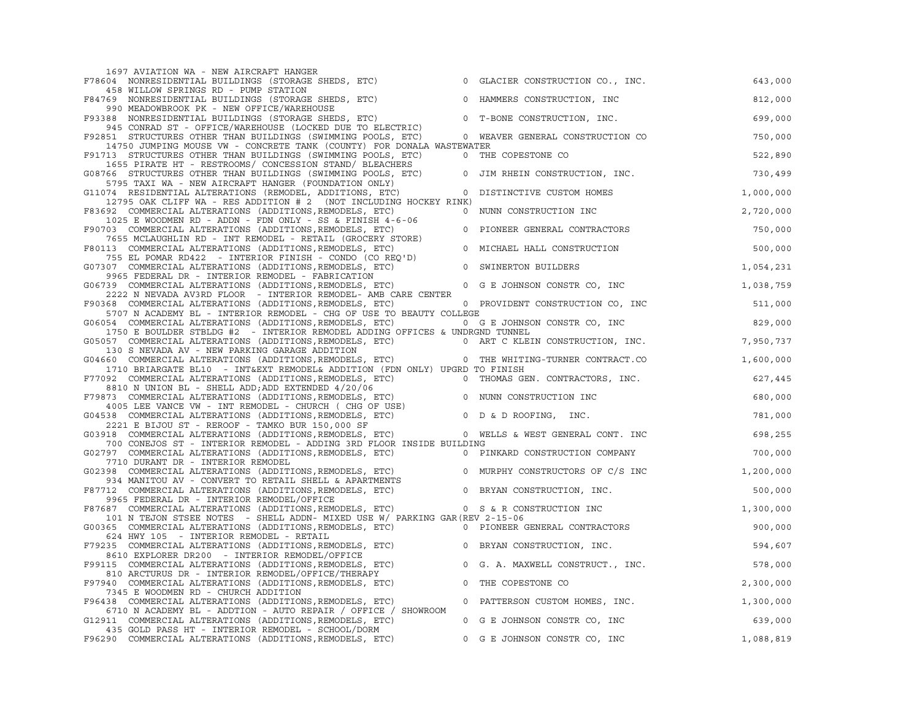| 1697 AVIATION WA - NEW AIRCRAFT HANGER<br>F78604 NONRESIDENTIAL BUILDINGS (STORAGE SHEDS, ETC) 0 GLACIER CONSTRUCTION CO., INC.                                                                                                                                                                    |                |                                             | 643,000   |
|----------------------------------------------------------------------------------------------------------------------------------------------------------------------------------------------------------------------------------------------------------------------------------------------------|----------------|---------------------------------------------|-----------|
| 458 WILLOW SPRINGS RD - PUMP STATION<br>F84769 NONRESIDENTIAL BUILDINGS (STORAGE SHEDS, ETC) O HAMMERS CONSTRUCTION, INC                                                                                                                                                                           |                |                                             | 812,000   |
| F84769 NONKESIDENTIAL DUIDENTS (STICK/WAREHOUSE<br>990 MEADOWBROOK PK - NEW OFFICE/WAREHOUSE<br>F93388 NONRESIDENTIAL BUILDINGS (STORAGE SHEDS, ETC) 0 T-BONE CONSTRUCTION, INC.                                                                                                                   |                |                                             | 699,000   |
| F92851 STRUCTURES OTHER THAN BUILDINGS (SWIMMING POOLS, ETC) 0 WEAVER GENERAL CONSTRUCTION CO                                                                                                                                                                                                      |                |                                             | 750,000   |
| 14750 JUMPING MOUSE VW - CONCRETE TANK (COUNTY) FOR DONALA WASTEWATER<br>F91713 STRUCTURES OTHER THAN BUILDINGS (SWIMMING POOLS, ETC) 0 THE COPESTONE CO                                                                                                                                           |                |                                             | 522,890   |
| 1655 PIRATE HT - RESTROOMS/ CONCESSION STAND/ BLEACHERS<br>G08766 STRUCTURES OTHER THAN BUILDINGS (SWIMMING POOLS, ETC) 0 JIM RHEIN CONSTRUCTION, INC. 230,499                                                                                                                                     |                |                                             |           |
| 5795 TAXI WA - NEW AIRCRAFT HANGER (FOUNDATION ONLY)<br>G11074 RESIDENTIAL ALTERATIONS (REMODEL, ADDITIONS, ETC)                                                                                                                                                                                   | $\overline{0}$ | DISTINCTIVE CUSTOM HOMES                    | 1,000,000 |
| 12795 OAK CLIFF WA - RES ADDITION # 2 (NOT INCLUDING HOCKEY RINK)<br>F83692 COMMERCIAL ALTERATIONS (ADDITIONS, REMODELS, ETC)                                                                                                                                                                      | $\overline{0}$ | NUNN CONSTRUCTION INC                       | 2,720,000 |
| 1025 E WOODMEN RD - ADDN - FDN ONLY - SS & FINISH 4-6-06<br>F90703 COMMERCIAL ALTERATIONS (ADDITIONS, REMODELS, ETC)                                                                                                                                                                               |                | 0 PIONEER GENERAL CONTRACTORS               | 750,000   |
| The Microsoft Construction Construction (CROCERY STORE)<br>113 COMMERCIAL ALTERATIONS (ADDITIONS, REMODELS, ETC)<br>113 COMMERCIAL ALTERATIONS (ADDITIONS, REMODELS, ETC)<br>207 COMMERCIAL ALTERATIONS (ADDITIONS, REMODELS, ETC)<br><br>F80113 COMMERCIAL ALTERATIONS (ADDITIONS, REMODELS, ETC) |                |                                             | 500,000   |
| G07307 COMMERCIAL ALTERATIONS (ADDITIONS, REMODELS, ETC)                                                                                                                                                                                                                                           |                |                                             | 1,054,231 |
| 9965 FEDERAL DR - INTERIOR REMODEL - FABRICATION<br>9965 FEDERAL DR - INIERIOR REMODEL - FABRICATION<br>G06739 COMMERCIAL ALTERATIONS (ADDITIONS,REMODELS, ETC) 0 G E JOHNSON CONSTR CO, INC                                                                                                       |                |                                             | 1,038,759 |
| 2222 N NEVADA AV3RD FLOOR - INTERIOR REMODEL- AMB CARE CENTER<br>F90368 COMMERCIAL ALTERATIONS (ADDITIONS, REMODELS, ETC) 0 PROVIDENT CONSTRUCTION CO, INC                                                                                                                                         |                |                                             | 511,000   |
| 5707 N ACADEMY BL - INTERIOR REMODEL - CHG OF USE TO BEAUTY COLLEGE<br>G06054 COMMERCIAL ALTERATIONS (ADDITIONS, REMODELS, ETC)                                                                                                                                                                    |                | $0 \t G E JOHNSON CONSTR CO, INC 829,000$   |           |
| 1750 E BOULDER STBLDG #2 - INTERIOR REMODEL ADDING OFFICES & UNDRGND TUNNEL                                                                                                                                                                                                                        |                |                                             | 7,950,737 |
| GO5057 COMMERCIAL ALTERATIONS (ADDITIONS, REMODELS, ETC) 0 ART C KLEIN CONSTRUCTION, INC.<br>130 S NEVADA AV - NEW PARKING GARAGE ADDITION<br>604660 COMMERCIAL ALTERATIONS (ADDITIONS, REMODELS, ETC) 0 THE WHITING-TURNER CONTRACT                                                               |                |                                             | 1,600,000 |
| 1710 BRIARGATE BL10 - INT&EXT REMODEL& ADDITION (FDN ONLY) UPGRD TO FINISH                                                                                                                                                                                                                         |                |                                             |           |
| F77092 COMMERCIAL ALTERATIONS (ADDITIONS, REMODELS, ETC) 0 THOMAS GEN. CONTRACTORS, INC.<br>8810 N UNION BL - SHELL ADD; ADD EXTENDED 4/20/06<br>F79873 COMMERCIAL ALTERATIONS (ADDITIONS, REMODELS, ETC) 0 NUNN CONSTRUCTION INC<br>                                                              |                |                                             | 627,445   |
| 4005 LEE VANCE VW - INT REMODEL - CHURCH ( CHG OF USE)                                                                                                                                                                                                                                             |                |                                             | 680,000   |
| G04538 COMMERCIAL ALTERATIONS (ADDITIONS, REMODELS, ETC)<br>2221 E BIJOU ST - REROOF - TAMKO BUR 150,000 SF                                                                                                                                                                                        |                | .<br>0 D & D ROOFING, INC.                  | 781,000   |
| G03918 COMMERCIAL ALTERATIONS (ADDITIONS, REMODELS, ETC) 00 WELLS & WEST GENERAL CONT. INC<br>700 CONEJOS ST - INTERIOR REMODEL - ADDING 3RD FLOOR INSIDE BUILDING                                                                                                                                 |                |                                             | 698,255   |
| G02797 COMMERCIAL ALTERATIONS (ADDITIONS, REMODELS, ETC)<br>7710 DURANT DR - INTERIOR REMODEL                                                                                                                                                                                                      |                | 0 PINKARD CONSTRUCTION COMPANY 6000 700,000 |           |
| THE SURFAINT DR - INTERIOR REMODEL<br>934 MANITOU AV - CONVERT TO RETAIL SHELL & APARTMENTS<br>F87712 COMMERCIAL ALTERATIONS (ADDITIONS, REMODELS, ETC)<br>934 MANITOU AV - CONVERT TO RETAIL SHELL & APARTMENTS<br>F87712 COMMERCIAL                                                              |                |                                             |           |
| 9965 FEDERAL DR - INTERIOR REMODEL/OFFICE                                                                                                                                                                                                                                                          |                |                                             |           |
| 9965 PEDEKAL DK - INIEKIOK KENODELI/OFFICES, ETC)<br>F87687 COMMERCIAL ALTERATIONS (ADDITIONS, REMODELS, ETC) 0 S & R CONSTRUCTION INC 1,300,000<br>201 Y ELEMENT MORE NORTH ANNUS CULTI ANNUM MEVER DE M/ DADITNO CAD (DEVI 2-15-06                                                               |                |                                             |           |
| 101 N TEJON STSEE NOTES - SHELL ADDN- MIXED USE W/ PARKING GAR (REV 2-15-06<br>G00365 COMMERCIAL ALTERATIONS (ADDITIONS, REMODELS, ETC) 0 PIONEER GENERAL CONTRACTORS                                                                                                                              |                |                                             | 900,000   |
| 624 HWY 105 - INTERIOR REMODEL - RETAIL<br>F79235 COMMERCIAL ALTERATIONS (ADDITIONS, REMODELS, ETC) 0 BRYAN CONSTRUCTION, INC.                                                                                                                                                                     |                |                                             | 594,607   |
| 8610 EXPLORER DR200 - INTERIOR REMODEL/OFFICE<br>F99115 COMMERCIAL ALTERATIONS (ADDITIONS, REMODELS, ETC)                                                                                                                                                                                          |                | 0 G. A. MAXWELL CONSTRUCT., INC.            | 578,000   |
| 810 ARCTURUS DR - INTERIOR REMODEL/OFFICE/THERAPY<br>F97940 COMMERCIAL ALTERATIONS (ADDITIONS, REMODELS, ETC)                                                                                                                                                                                      | $\overline{0}$ | THE COPESTONE CO                            | 2,300,000 |
| 7345 E WOODMEN RD - CHURCH ADDITION<br>F96438 COMMERCIAL ALTERATIONS (ADDITIONS, REMODELS, ETC)                                                                                                                                                                                                    |                | 0 PATTERSON CUSTOM HOMES, INC. 1,300,000    |           |
| 6710 N ACADEMY BL - ADDTION - AUTO REPAIR / OFFICE / SHOWROOM<br>G12911 COMMERCIAL ALTERATIONS (ADDITIONS, REMODELS, ETC)                                                                                                                                                                          |                | 0 G E JOHNSON CONSTR CO, INC                | 639,000   |
| 435 GOLD PASS HT - INTERIOR REMODEL - SCHOOL/DORM<br>F96290 COMMERCIAL ALTERATIONS (ADDITIONS, REMODELS, ETC)                                                                                                                                                                                      |                | 0 G E JOHNSON CONSTR CO, INC                | 1,088,819 |
|                                                                                                                                                                                                                                                                                                    |                |                                             |           |